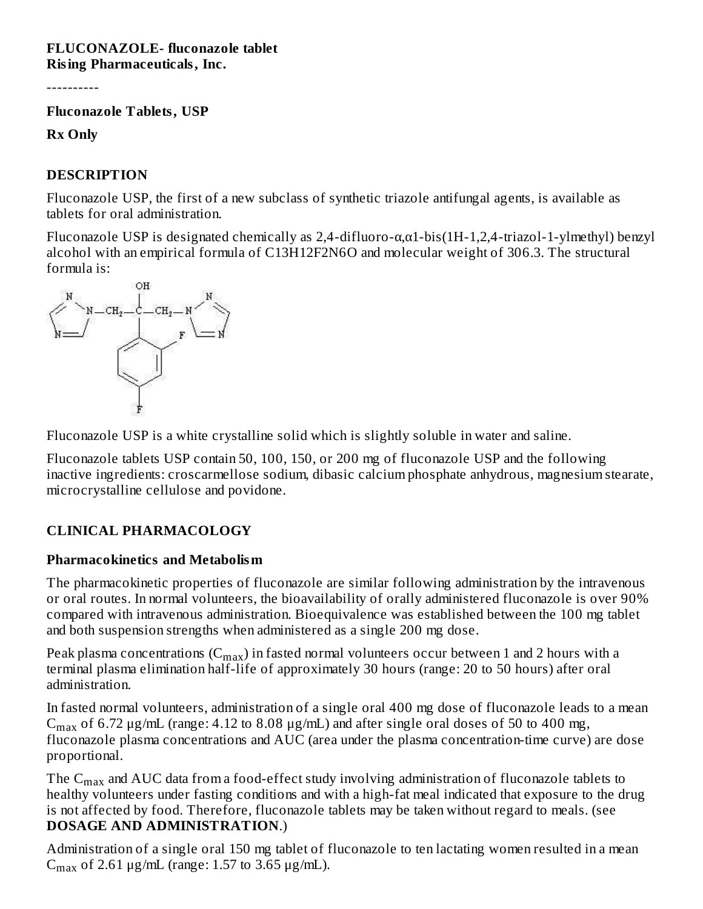#### **FLUCONAZOLE- fluconazole tablet Rising Pharmaceuticals, Inc.**

----------

**Fluconazole Tablets, USP**

**Rx Only**

#### **DESCRIPTION**

Fluconazole USP, the first of a new subclass of synthetic triazole antifungal agents, is available as tablets for oral administration.

Fluconazole USP is designated chemically as 2,4-difluoro-α,α1-bis(1H-1,2,4-triazol-1-ylmethyl) benzyl alcohol with an empirical formula of C13H12F2N6O and molecular weight of 306.3. The structural formula is:



Fluconazole USP is a white crystalline solid which is slightly soluble in water and saline.

Fluconazole tablets USP contain 50, 100, 150, or 200 mg of fluconazole USP and the following inactive ingredients: croscarmellose sodium, dibasic calcium phosphate anhydrous, magnesium stearate, microcrystalline cellulose and povidone.

## **CLINICAL PHARMACOLOGY**

#### **Pharmacokinetics and Metabolism**

The pharmacokinetic properties of fluconazole are similar following administration by the intravenous or oral routes. In normal volunteers, the bioavailability of orally administered fluconazole is over 90% compared with intravenous administration. Bioequivalence was established between the 100 mg tablet and both suspension strengths when administered as a single 200 mg dose.

Peak plasma concentrations  $(\mathrm{C_{max}})$  in fasted normal volunteers occur between 1 and 2 hours with a terminal plasma elimination half-life of approximately 30 hours (range: 20 to 50 hours) after oral administration.

In fasted normal volunteers, administration of a single oral 400 mg dose of fluconazole leads to a mean  $C_{max}$  of 6.72 μg/mL (range: 4.12 to 8.08 μg/mL) and after single oral doses of 50 to 400 mg, fluconazole plasma concentrations and AUC (area under the plasma concentration-time curve) are dose proportional.

The  $\rm{C_{max}}$  and AUC data from a food-effect study involving administration of fluconazole tablets to healthy volunteers under fasting conditions and with a high-fat meal indicated that exposure to the drug is not affected by food. Therefore, fluconazole tablets may be taken without regard to meals. (see **DOSAGE AND ADMINISTRATION**.)

Administration of a single oral 150 mg tablet of fluconazole to ten lactating women resulted in a mean  $C_{\text{max}}$  of 2.61 μg/mL (range: 1.57 to 3.65 μg/mL).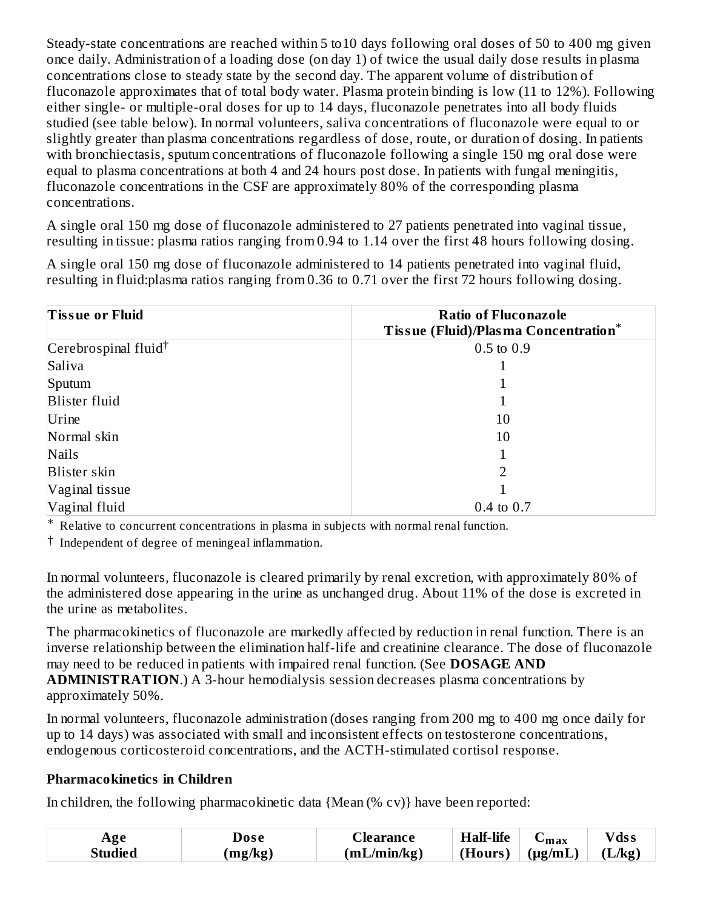Steady-state concentrations are reached within 5 to10 days following oral doses of 50 to 400 mg given once daily. Administration of a loading dose (on day 1) of twice the usual daily dose results in plasma concentrations close to steady state by the second day. The apparent volume of distribution of fluconazole approximates that of total body water. Plasma protein binding is low (11 to 12%). Following either single- or multiple-oral doses for up to 14 days, fluconazole penetrates into all body fluids studied (see table below). In normal volunteers, saliva concentrations of fluconazole were equal to or slightly greater than plasma concentrations regardless of dose, route, or duration of dosing. In patients with bronchiectasis, sputum concentrations of fluconazole following a single 150 mg oral dose were equal to plasma concentrations at both 4 and 24 hours post dose. In patients with fungal meningitis, fluconazole concentrations in the CSF are approximately 80% of the corresponding plasma concentrations.

A single oral 150 mg dose of fluconazole administered to 27 patients penetrated into vaginal tissue, resulting in tissue: plasma ratios ranging from 0.94 to 1.14 over the first 48 hours following dosing.

A single oral 150 mg dose of fluconazole administered to 14 patients penetrated into vaginal fluid, resulting in fluid:plasma ratios ranging from 0.36 to 0.71 over the first 72 hours following dosing.

| <b>Tissue or Fluid</b>           | <b>Ratio of Fluconazole</b><br><b>Tissue (Fluid)/Plasma Concentration*</b> |
|----------------------------------|----------------------------------------------------------------------------|
| Cerebrospinal fluid <sup>†</sup> | $0.5 \text{ to } 0.9$                                                      |
| Saliva                           |                                                                            |
| Sputum                           |                                                                            |
| <b>Blister fluid</b>             |                                                                            |
| Urine                            | 10                                                                         |
| Normal skin                      | 10                                                                         |
| Nails                            |                                                                            |
| Blister skin                     | 2                                                                          |
| Vaginal tissue                   |                                                                            |
| Vaginal fluid                    | $0.4$ to $0.7$                                                             |

\* Relative to concurrent concentrations in plasma in subjects with normal renal function.

† Independent of degree of meningeal inflammation.

In normal volunteers, fluconazole is cleared primarily by renal excretion, with approximately 80% of the administered dose appearing in the urine as unchanged drug. About 11% of the dose is excreted in the urine as metabolites.

The pharmacokinetics of fluconazole are markedly affected by reduction in renal function. There is an inverse relationship between the elimination half-life and creatinine clearance. The dose of fluconazole may need to be reduced in patients with impaired renal function. (See **DOSAGE AND ADMINISTRATION**.) A 3-hour hemodialysis session decreases plasma concentrations by approximately 50%.

In normal volunteers, fluconazole administration (doses ranging from 200 mg to 400 mg once daily for up to 14 days) was associated with small and inconsistent effects on testosterone concentrations, endogenous corticosteroid concentrations, and the ACTH-stimulated cortisol response.

#### **Pharmacokinetics in Children**

In children, the following pharmacokinetic data {Mean (% cv)} have been reported:

| Age     | Dose    | _learance   | <b>Half-life</b> | $\mathbf{u}$ max   | $V$ ds s |
|---------|---------|-------------|------------------|--------------------|----------|
| Studied | (mg/kg) | (mL/min/kg) | (Hours)          | $(\mu\text{g/mL})$ | $L/kg$ ) |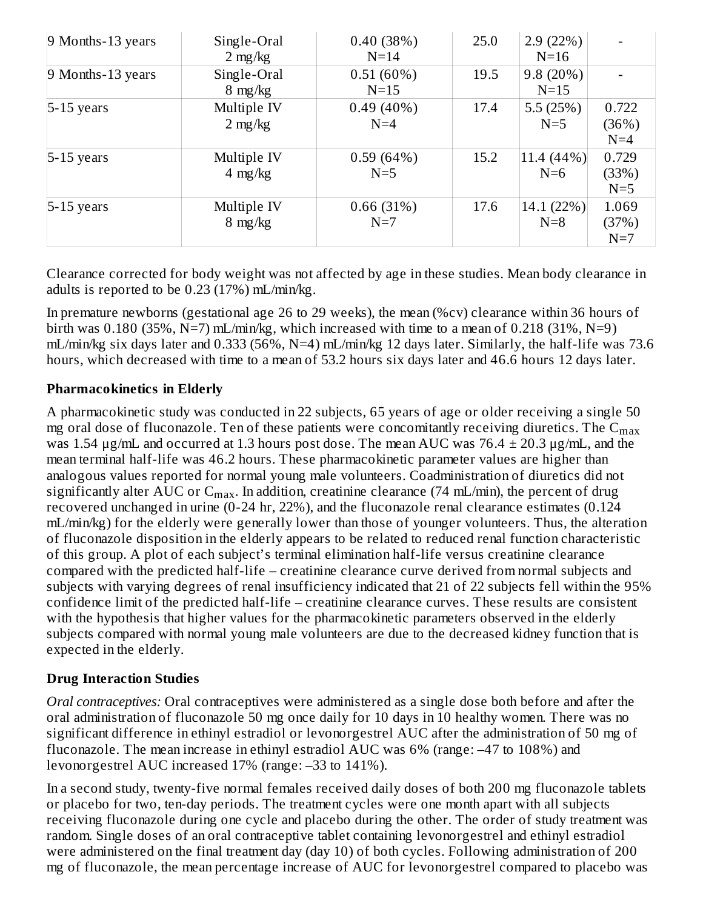| 9 Months-13 years   | Single-Oral<br>$2 \text{ mg/kg}$ | 0.40(38%)<br>$N=14$   | 25.0 | 2.9(22%)<br>$N=16$  |                         |
|---------------------|----------------------------------|-----------------------|------|---------------------|-------------------------|
| $9$ Months-13 years | Single-Oral<br>$8 \text{ mg/kg}$ | 0.51(60%)<br>$N=15$   | 19.5 | 9.8(20%)<br>$N=15$  |                         |
| $5-15$ years        | Multiple IV<br>$2 \text{ mg/kg}$ | $0.49(40\%)$<br>$N=4$ | 17.4 | 5.5(25%)<br>$N=5$   | 0.722<br>(36%)<br>$N=4$ |
| $5-15$ years        | Multiple IV<br>$4 \text{ mg/kg}$ | 0.59(64%)<br>$N=5$    | 15.2 | 11.4 (44%)<br>$N=6$ | 0.729<br>(33%)<br>$N=5$ |
| $5-15$ years        | Multiple IV<br>$8 \text{ mg/kg}$ | 0.66(31%)<br>$N=7$    | 17.6 | 14.1 (22%)<br>$N=8$ | 1.069<br>(37%)<br>$N=7$ |

Clearance corrected for body weight was not affected by age in these studies. Mean body clearance in adults is reported to be 0.23 (17%) mL/min/kg.

In premature newborns (gestational age 26 to 29 weeks), the mean (%cv) clearance within 36 hours of birth was 0.180 (35%,  $N=7$ ) mL/min/kg, which increased with time to a mean of 0.218 (31%,  $N=9$ ) mL/min/kg six days later and 0.333 (56%, N=4) mL/min/kg 12 days later. Similarly, the half-life was 73.6 hours, which decreased with time to a mean of 53.2 hours six days later and 46.6 hours 12 days later.

## **Pharmacokinetics in Elderly**

A pharmacokinetic study was conducted in 22 subjects, 65 years of age or older receiving a single 50 mg oral dose of fluconazole. Ten of these patients were concomitantly receiving diuretics. The  $\mathsf{C}_{\max}$ was 1.54  $\mu$ g/mL and occurred at 1.3 hours post dose. The mean AUC was 76.4  $\pm$  20.3  $\mu$ g/mL, and the mean terminal half-life was 46.2 hours. These pharmacokinetic parameter values are higher than analogous values reported for normal young male volunteers. Coadministration of diuretics did not significantly alter AUC or  $\mathsf{C}_{\max}$ . In addition, creatinine clearance (74 mL/min), the percent of drug recovered unchanged in urine (0-24 hr, 22%), and the fluconazole renal clearance estimates (0.124 mL/min/kg) for the elderly were generally lower than those of younger volunteers. Thus, the alteration of fluconazole disposition in the elderly appears to be related to reduced renal function characteristic of this group. A plot of each subject's terminal elimination half-life versus creatinine clearance compared with the predicted half-life – creatinine clearance curve derived from normal subjects and subjects with varying degrees of renal insufficiency indicated that 21 of 22 subjects fell within the 95% confidence limit of the predicted half-life – creatinine clearance curves. These results are consistent with the hypothesis that higher values for the pharmacokinetic parameters observed in the elderly subjects compared with normal young male volunteers are due to the decreased kidney function that is expected in the elderly.

## **Drug Interaction Studies**

*Oral contraceptives:* Oral contraceptives were administered as a single dose both before and after the oral administration of fluconazole 50 mg once daily for 10 days in 10 healthy women. There was no significant difference in ethinyl estradiol or levonorgestrel AUC after the administration of 50 mg of fluconazole. The mean increase in ethinyl estradiol AUC was 6% (range: –47 to 108%) and levonorgestrel AUC increased 17% (range: –33 to 141%).

In a second study, twenty-five normal females received daily doses of both 200 mg fluconazole tablets or placebo for two, ten-day periods. The treatment cycles were one month apart with all subjects receiving fluconazole during one cycle and placebo during the other. The order of study treatment was random. Single doses of an oral contraceptive tablet containing levonorgestrel and ethinyl estradiol were administered on the final treatment day (day 10) of both cycles. Following administration of 200 mg of fluconazole, the mean percentage increase of AUC for levonorgestrel compared to placebo was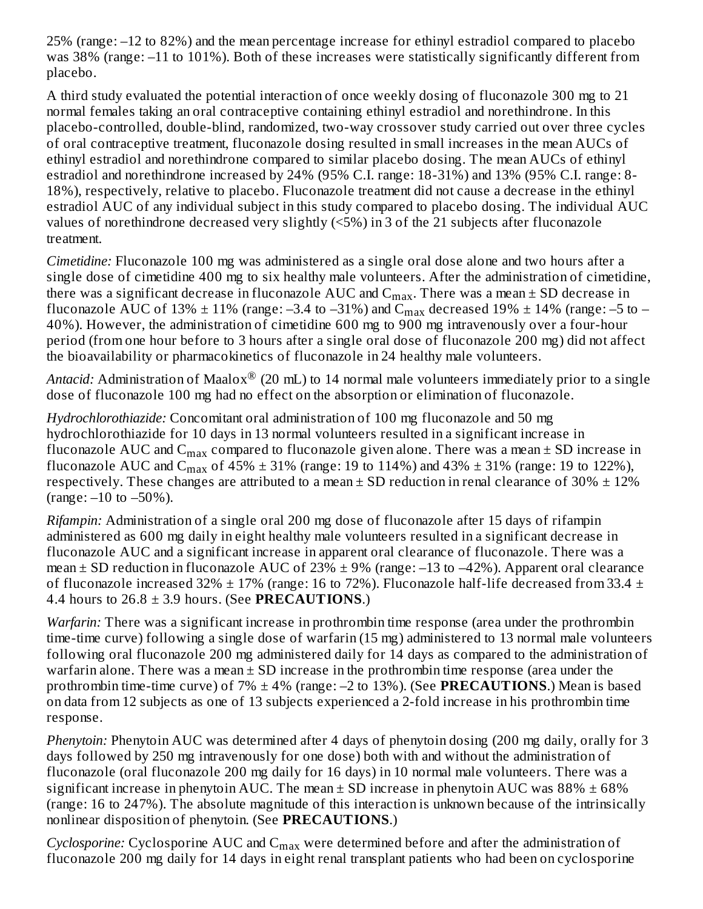25% (range: –12 to 82%) and the mean percentage increase for ethinyl estradiol compared to placebo was 38% (range: –11 to 101%). Both of these increases were statistically significantly different from placebo.

A third study evaluated the potential interaction of once weekly dosing of fluconazole 300 mg to 21 normal females taking an oral contraceptive containing ethinyl estradiol and norethindrone. In this placebo-controlled, double-blind, randomized, two-way crossover study carried out over three cycles of oral contraceptive treatment, fluconazole dosing resulted in small increases in the mean AUCs of ethinyl estradiol and norethindrone compared to similar placebo dosing. The mean AUCs of ethinyl estradiol and norethindrone increased by 24% (95% C.I. range: 18-31%) and 13% (95% C.I. range: 8- 18%), respectively, relative to placebo. Fluconazole treatment did not cause a decrease in the ethinyl estradiol AUC of any individual subject in this study compared to placebo dosing. The individual AUC values of norethindrone decreased very slightly (<5%) in 3 of the 21 subjects after fluconazole treatment.

*Cimetidine:* Fluconazole 100 mg was administered as a single oral dose alone and two hours after a single dose of cimetidine 400 mg to six healthy male volunteers. After the administration of cimetidine, there was a significant decrease in fluconazole  $\mathop{\rm AUC}\nolimits$  and  $\mathop{\rm C_{max}}\nolimits.$  There was a mean  $\pm$  SD decrease in fluconazole AUC of 13%  $\pm$  11% (range: –3.4 to –31%) and C $_{\rm max}$  decreased 19%  $\pm$  14% (range: –5 to – 40%). However, the administration of cimetidine 600 mg to 900 mg intravenously over a four-hour period (from one hour before to 3 hours after a single oral dose of fluconazole 200 mg) did not affect the bioavailability or pharmacokinetics of fluconazole in 24 healthy male volunteers.

*Antacid:* Administration of Maalox $^{\circledR}$  (20 mL) to 14 normal male volunteers immediately prior to a single dose of fluconazole 100 mg had no effect on the absorption or elimination of fluconazole.

*Hydrochlorothiazide:* Concomitant oral administration of 100 mg fluconazole and 50 mg hydrochlorothiazide for 10 days in 13 normal volunteers resulted in a significant increase in fluconazole AUC and  $\rm{C_{max}}$  compared to fluconazole given alone. There was a mean  $\pm$  SD increase in fluconazole AUC and C<sub>max</sub> of 45%  $\pm$  31% (range: 19 to 114%) and 43%  $\pm$  31% (range: 19 to 122%), respectively. These changes are attributed to a mean  $\pm$  SD reduction in renal clearance of 30%  $\pm$  12% (range:  $-10$  to  $-50\%$ ).

*Rifampin:* Administration of a single oral 200 mg dose of fluconazole after 15 days of rifampin administered as 600 mg daily in eight healthy male volunteers resulted in a significant decrease in fluconazole AUC and a significant increase in apparent oral clearance of fluconazole. There was a mean  $\pm$  SD reduction in fluconazole AUC of 23%  $\pm$  9% (range: -13 to -42%). Apparent oral clearance of fluconazole increased 32%  $\pm$  17% (range: 16 to 72%). Fluconazole half-life decreased from 33.4  $\pm$ 4.4 hours to  $26.8 \pm 3.9$  hours. (See **PRECAUTIONS**.)

*Warfarin:* There was a significant increase in prothrombin time response (area under the prothrombin time-time curve) following a single dose of warfarin (15 mg) administered to 13 normal male volunteers following oral fluconazole 200 mg administered daily for 14 days as compared to the administration of warfarin alone. There was a mean  $\pm$  SD increase in the prothrombin time response (area under the prothrombin time-time curve) of 7% ± 4% (range: –2 to 13%). (See **PRECAUTIONS**.) Mean is based on data from 12 subjects as one of 13 subjects experienced a 2-fold increase in his prothrombin time response.

*Phenytoin:* Phenytoin AUC was determined after 4 days of phenytoin dosing (200 mg daily, orally for 3 days followed by 250 mg intravenously for one dose) both with and without the administration of fluconazole (oral fluconazole 200 mg daily for 16 days) in 10 normal male volunteers. There was a significant increase in phenytoin AUC. The mean  $\pm$  SD increase in phenytoin AUC was 88%  $\pm$  68% (range: 16 to 247%). The absolute magnitude of this interaction is unknown because of the intrinsically nonlinear disposition of phenytoin. (See **PRECAUTIONS**.)

 $Cyclosporine: Cyclosporine AUC and  $C_{\rm max}$  were determined before and after the administration of$ fluconazole 200 mg daily for 14 days in eight renal transplant patients who had been on cyclosporine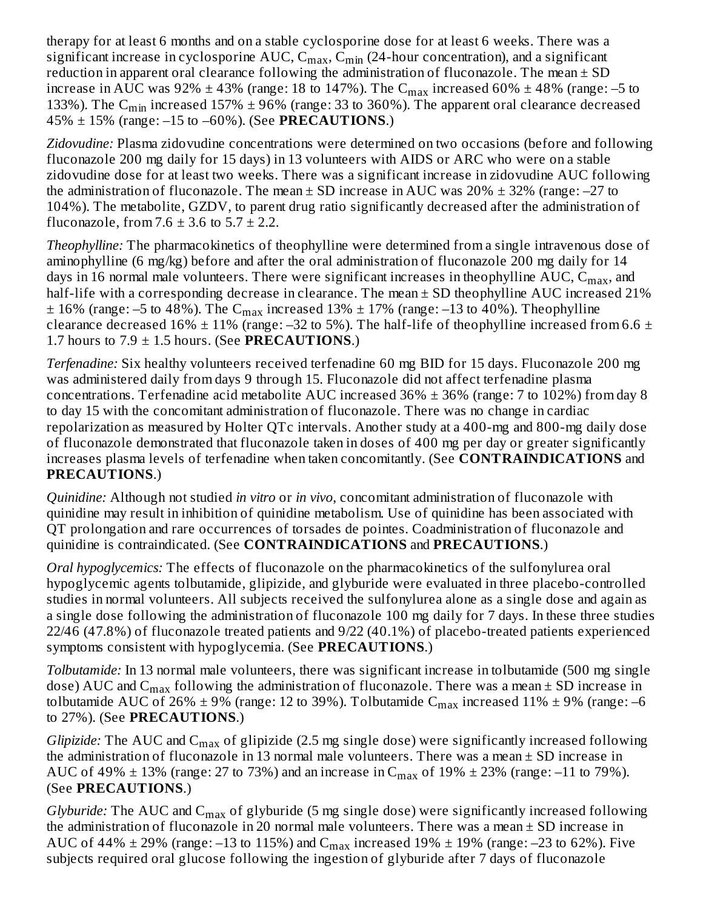therapy for at least 6 months and on a stable cyclosporine dose for at least 6 weeks. There was a significant increase in cyclosporine AUC,  $\mathsf{C_{max}}, \mathsf{C_{min}}$  (24-hour concentration), and a significant reduction in apparent oral clearance following the administration of fluconazole. The mean  $\pm$  SD increase in AUC was 92%  $\pm$  43% (range: 18 to 147%). The  $\rm{C_{max}}$  increased 60%  $\pm$  48% (range: –5 to 133%). The C<sub>min</sub> increased 157%  $\pm$  96% (range: 33 to 360%). The apparent oral clearance decreased 45% ± 15% (range: –15 to –60%). (See **PRECAUTIONS**.)

*Zidovudine:* Plasma zidovudine concentrations were determined on two occasions (before and following fluconazole 200 mg daily for 15 days) in 13 volunteers with AIDS or ARC who were on a stable zidovudine dose for at least two weeks. There was a significant increase in zidovudine AUC following the administration of fluconazole. The mean  $\pm$  SD increase in AUC was 20%  $\pm$  32% (range: -27 to 104%). The metabolite, GZDV, to parent drug ratio significantly decreased after the administration of fluconazole, from  $7.6 \pm 3.6$  to  $5.7 \pm 2.2$ .

*Theophylline:* The pharmacokinetics of theophylline were determined from a single intravenous dose of aminophylline (6 mg/kg) before and after the oral administration of fluconazole 200 mg daily for 14 days in 16 normal male volunteers. There were significant increases in theophylline  $\rm AUC, \rm C_{max},$  and half-life with a corresponding decrease in clearance. The mean  $\pm$  SD theophylline AUC increased 21%  $\pm$  16% (range: –5 to 48%). The C $_{\rm max}$  increased 13%  $\pm$  17% (range: –13 to 40%). Theophylline clearance decreased 16%  $\pm$  11% (range: -32 to 5%). The half-life of theophylline increased from 6.6  $\pm$ 1.7 hours to  $7.9 \pm 1.5$  hours. (See **PRECAUTIONS**.)

*Terfenadine:* Six healthy volunteers received terfenadine 60 mg BID for 15 days. Fluconazole 200 mg was administered daily from days 9 through 15. Fluconazole did not affect terfenadine plasma concentrations. Terfenadine acid metabolite AUC increased  $36\% \pm 36\%$  (range: 7 to 102%) from day 8 to day 15 with the concomitant administration of fluconazole. There was no change in cardiac repolarization as measured by Holter QTc intervals. Another study at a 400-mg and 800-mg daily dose of fluconazole demonstrated that fluconazole taken in doses of 400 mg per day or greater significantly increases plasma levels of terfenadine when taken concomitantly. (See **CONTRAINDICATIONS** and **PRECAUTIONS**.)

*Quinidine:* Although not studied *in vitro* or *in vivo*, concomitant administration of fluconazole with quinidine may result in inhibition of quinidine metabolism. Use of quinidine has been associated with QT prolongation and rare occurrences of torsades de pointes. Coadministration of fluconazole and quinidine is contraindicated. (See **CONTRAINDICATIONS** and **PRECAUTIONS**.)

*Oral hypoglycemics:* The effects of fluconazole on the pharmacokinetics of the sulfonylurea oral hypoglycemic agents tolbutamide, glipizide, and glyburide were evaluated in three placebo-controlled studies in normal volunteers. All subjects received the sulfonylurea alone as a single dose and again as a single dose following the administration of fluconazole 100 mg daily for 7 days. In these three studies 22/46 (47.8%) of fluconazole treated patients and 9/22 (40.1%) of placebo-treated patients experienced symptoms consistent with hypoglycemia. (See **PRECAUTIONS**.)

*Tolbutamide:* In 13 normal male volunteers, there was significant increase in tolbutamide (500 mg single dose) AUC and  $\mathsf{C}_{\max}$  following the administration of fluconazole. There was a mean  $\pm$  SD increase in tolbutamide AUC of 26%  $\pm$  9% (range: 12 to 39%). Tolbutamide  $\rm{C_{max}}$  increased 11%  $\pm$  9% (range: –6 to 27%). (See **PRECAUTIONS**.)

*Glipizide:* The AUC and  $C_{\rm max}$  of glipizide (2.5 mg single dose) were significantly increased following the administration of fluconazole in 13 normal male volunteers. There was a mean  $\pm$  SD increase in AUC of 49%  $\pm$  13% (range: 27 to 73%) and an increase in  $\rm{C_{max}}$  of 19%  $\pm$  23% (range: –11 to 79%). (See **PRECAUTIONS**.)

*Glyburide:* The AUC and  $C_{max}$  of glyburide (5 mg single dose) were significantly increased following the administration of fluconazole in 20 normal male volunteers. There was a mean  $\pm$  SD increase in AUC of 44%  $\pm$  29% (range: –13 to 115%) and C $_{\rm max}$  increased 19%  $\pm$  19% (range: –23 to 62%). Five subjects required oral glucose following the ingestion of glyburide after 7 days of fluconazole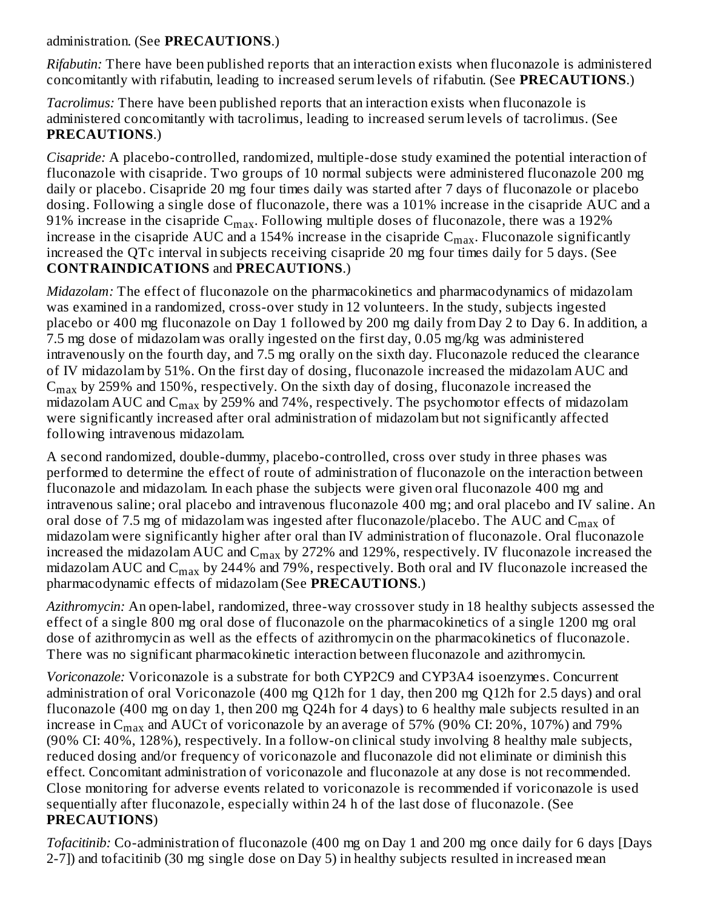#### administration. (See **PRECAUTIONS**.)

*Rifabutin:* There have been published reports that an interaction exists when fluconazole is administered concomitantly with rifabutin, leading to increased serum levels of rifabutin. (See **PRECAUTIONS**.)

*Tacrolimus:* There have been published reports that an interaction exists when fluconazole is administered concomitantly with tacrolimus, leading to increased serum levels of tacrolimus. (See **PRECAUTIONS**.)

*Cisapride:* A placebo-controlled, randomized, multiple-dose study examined the potential interaction of fluconazole with cisapride. Two groups of 10 normal subjects were administered fluconazole 200 mg daily or placebo. Cisapride 20 mg four times daily was started after 7 days of fluconazole or placebo dosing. Following a single dose of fluconazole, there was a 101% increase in the cisapride AUC and a 91% increase in the cisapride  $\rm C_{max}.$  Following multiple doses of fluconazole, there was a 192% increase in the cisapride  $\rm AUC$  and a 154% increase in the cisapride  $\rm C_{max}.$  Fluconazole significantly increased the QTc interval in subjects receiving cisapride 20 mg four times daily for 5 days. (See **CONTRAINDICATIONS** and **PRECAUTIONS**.)

*Midazolam:* The effect of fluconazole on the pharmacokinetics and pharmacodynamics of midazolam was examined in a randomized, cross-over study in 12 volunteers. In the study, subjects ingested placebo or 400 mg fluconazole on Day 1 followed by 200 mg daily from Day 2 to Day 6. In addition, a 7.5 mg dose of midazolam was orally ingested on the first day, 0.05 mg/kg was administered intravenously on the fourth day, and 7.5 mg orally on the sixth day. Fluconazole reduced the clearance of IV midazolam by 51%. On the first day of dosing, fluconazole increased the midazolam AUC and  $\rm{C_{max}}$  by 259% and 150%, respectively. On the sixth day of dosing, fluconazole increased the midazolam AUC and  $\rm{C_{max}}$  by 259% and 74%, respectively. The psychomotor effects of midazolam were significantly increased after oral administration of midazolam but not significantly affected following intravenous midazolam.

A second randomized, double-dummy, placebo-controlled, cross over study in three phases was performed to determine the effect of route of administration of fluconazole on the interaction between fluconazole and midazolam. In each phase the subjects were given oral fluconazole 400 mg and intravenous saline; oral placebo and intravenous fluconazole 400 mg; and oral placebo and IV saline. An oral dose of 7.5 mg of midazolam was ingested after fluconazole/placebo. The AUC and  $\rm{C_{max}}$  of midazolam were significantly higher after oral than IV administration of fluconazole. Oral fluconazole increased the midazolam AUC and  $\rm C_{max}$  by 272% and 129%, respectively. IV fluconazole increased the midazolam AUC and  $\rm{C_{max}}$  by 244% and 79%, respectively. Both oral and IV fluconazole increased the pharmacodynamic effects of midazolam (See **PRECAUTIONS**.)

*Azithromycin:* An open-label, randomized, three-way crossover study in 18 healthy subjects assessed the effect of a single 800 mg oral dose of fluconazole on the pharmacokinetics of a single 1200 mg oral dose of azithromycin as well as the effects of azithromycin on the pharmacokinetics of fluconazole. There was no significant pharmacokinetic interaction between fluconazole and azithromycin.

*Voriconazole:* Voriconazole is a substrate for both CYP2C9 and CYP3A4 isoenzymes. Concurrent administration of oral Voriconazole (400 mg Q12h for 1 day, then 200 mg Q12h for 2.5 days) and oral fluconazole (400 mg on day 1, then 200 mg Q24h for 4 days) to 6 healthy male subjects resulted in an increase in  $\rm{C_{max}}$  and  $\rm{AUC}$ t of voriconazole by an average of 57% (90% CI: 20%, 107%) and 79% (90% CI: 40%, 128%), respectively. In a follow-on clinical study involving 8 healthy male subjects, reduced dosing and/or frequency of voriconazole and fluconazole did not eliminate or diminish this effect. Concomitant administration of voriconazole and fluconazole at any dose is not recommended. Close monitoring for adverse events related to voriconazole is recommended if voriconazole is used sequentially after fluconazole, especially within 24 h of the last dose of fluconazole. (See **PRECAUTIONS**)

*Tofacitinib:* Co-administration of fluconazole (400 mg on Day 1 and 200 mg once daily for 6 days [Days 2-7]) and tofacitinib (30 mg single dose on Day 5) in healthy subjects resulted in increased mean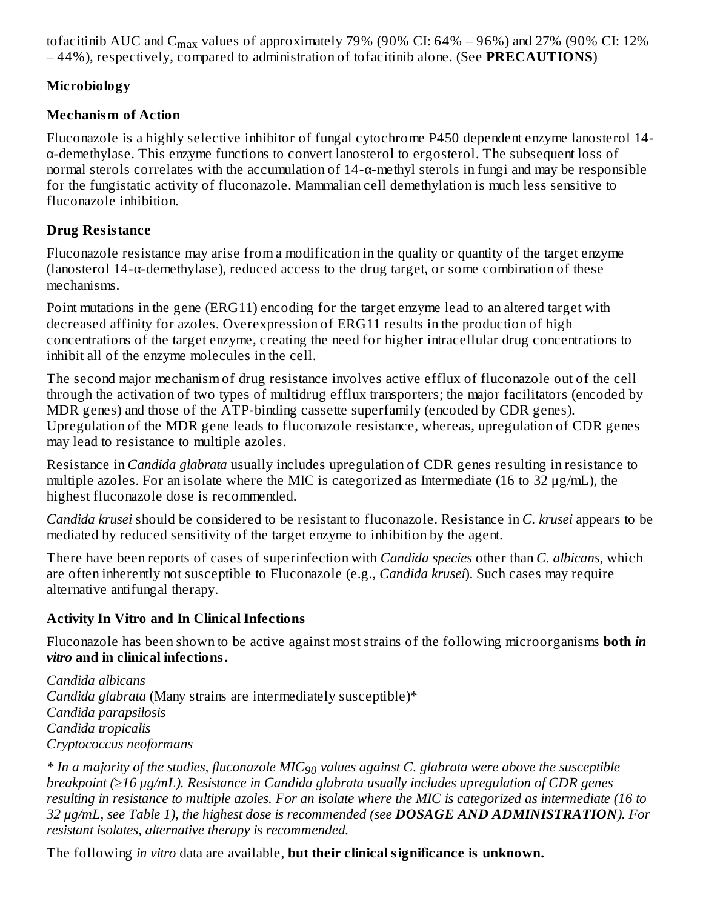tofacitinib AUC and C<sub>max</sub> values of approximately 79% (90% CI: 64% – 96%) and 27% (90% CI: 12% – 44%), respectively, compared to administration of tofacitinib alone. (See **PRECAUTIONS**)

## **Microbiology**

## **Mechanism of Action**

Fluconazole is a highly selective inhibitor of fungal cytochrome P450 dependent enzyme lanosterol 14 α-demethylase. This enzyme functions to convert lanosterol to ergosterol. The subsequent loss of normal sterols correlates with the accumulation of 14-α-methyl sterols in fungi and may be responsible for the fungistatic activity of fluconazole. Mammalian cell demethylation is much less sensitive to fluconazole inhibition.

# **Drug Resistance**

Fluconazole resistance may arise from a modification in the quality or quantity of the target enzyme (lanosterol  $14-\alpha$ -demethylase), reduced access to the drug target, or some combination of these mechanisms.

Point mutations in the gene (ERG11) encoding for the target enzyme lead to an altered target with decreased affinity for azoles. Overexpression of ERG11 results in the production of high concentrations of the target enzyme, creating the need for higher intracellular drug concentrations to inhibit all of the enzyme molecules in the cell.

The second major mechanism of drug resistance involves active efflux of fluconazole out of the cell through the activation of two types of multidrug efflux transporters; the major facilitators (encoded by MDR genes) and those of the ATP-binding cassette superfamily (encoded by CDR genes). Upregulation of the MDR gene leads to fluconazole resistance, whereas, upregulation of CDR genes may lead to resistance to multiple azoles.

Resistance in *Candida glabrata* usually includes upregulation of CDR genes resulting in resistance to multiple azoles. For an isolate where the MIC is categorized as Intermediate (16 to 32 μg/mL), the highest fluconazole dose is recommended.

*Candida krusei* should be considered to be resistant to fluconazole. Resistance in *C. krusei* appears to be mediated by reduced sensitivity of the target enzyme to inhibition by the agent.

There have been reports of cases of superinfection with *Candida species* other than *C. albicans*, which are often inherently not susceptible to Fluconazole (e.g., *Candida krusei*). Such cases may require alternative antifungal therapy.

# **Activity In Vitro and In Clinical Infections**

Fluconazole has been shown to be active against most strains of the following microorganisms **both** *in vitro* **and in clinical infections.**

*Candida albicans Candida glabrata* (Many strains are intermediately susceptible)\* *Candida parapsilosis Candida tropicalis Cryptococcus neoformans*

 $*$  In a majority of the studies, fluconazole MIC $_{90}$  values against C. glabrata were above the susceptible *breakpoint (≥16 μg/mL). Resistance in Candida glabrata usually includes upregulation of CDR genes* resulting in resistance to multiple azoles. For an isolate where the MIC is categorized as intermediate (16 to *32 μg/mL, see Table 1), the highest dose is recommended (see DOSAGE AND ADMINISTRATION). For resistant isolates, alternative therapy is recommended.*

The following *in vitro* data are available, **but their clinical significance is unknown.**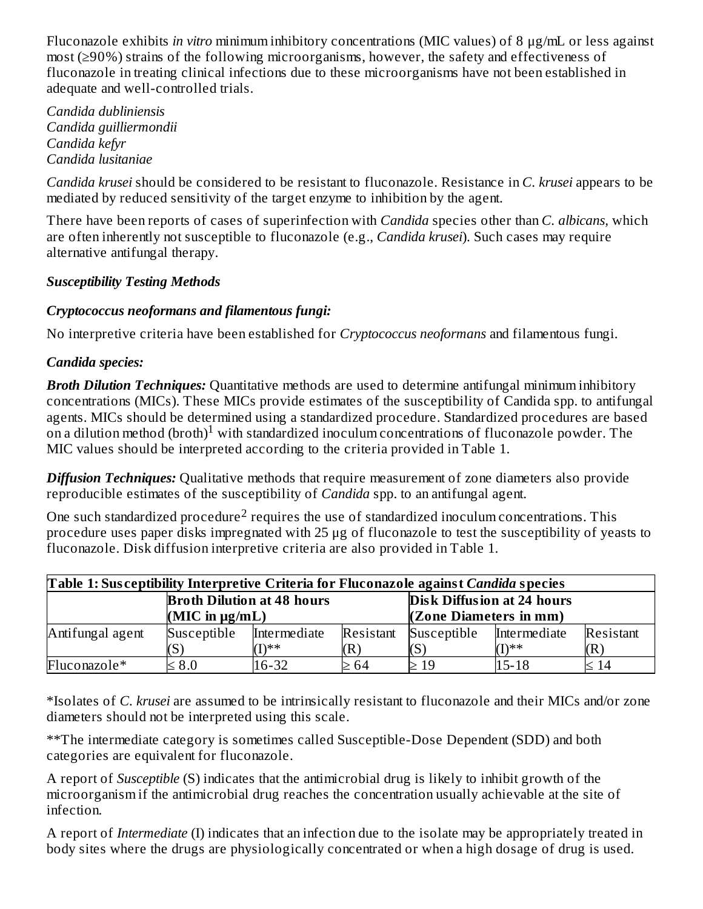Fluconazole exhibits *in vitro* minimum inhibitory concentrations (MIC values) of 8 μg/mL or less against most (≥90%) strains of the following microorganisms, however, the safety and effectiveness of fluconazole in treating clinical infections due to these microorganisms have not been established in adequate and well-controlled trials.

*Candida dubliniensis Candida guilliermondii Candida kefyr Candida lusitaniae*

*Candida krusei* should be considered to be resistant to fluconazole. Resistance in *C. krusei* appears to be mediated by reduced sensitivity of the target enzyme to inhibition by the agent.

There have been reports of cases of superinfection with *Candida* species other than *C. albicans,* which are often inherently not susceptible to fluconazole (e.g., *Candida krusei*). Such cases may require alternative antifungal therapy.

## *Susceptibility Testing Methods*

## *Cryptococcus neoformans and filamentous fungi:*

No interpretive criteria have been established for *Cryptococcus neoformans* and filamentous fungi*.*

## *Candida species:*

*Broth Dilution Techniques:* Quantitative methods are used to determine antifungal minimum inhibitory concentrations (MICs). These MICs provide estimates of the susceptibility of Candida spp. to antifungal agents. MICs should be determined using a standardized procedure. Standardized procedures are based on a dilution method (broth)<sup>1</sup> with standardized inoculum concentrations of fluconazole powder. The MIC values should be interpreted according to the criteria provided in Table 1.

*Diffusion Techniques:* Qualitative methods that require measurement of zone diameters also provide reproducible estimates of the susceptibility of *Candida* spp. to an antifungal agent.

One such standardized procedure<sup>2</sup> requires the use of standardized inoculum concentrations. This procedure uses paper disks impregnated with 25 μg of fluconazole to test the susceptibility of yeasts to fluconazole. Disk diffusion interpretive criteria are also provided in Table 1.

| Table 1: Susceptibility Interpretive Criteria for Fluconazole against Candida species |                       |                        |           |                        |                              |           |  |  |  |  |
|---------------------------------------------------------------------------------------|-----------------------|------------------------|-----------|------------------------|------------------------------|-----------|--|--|--|--|
| Disk Diffusion at 24 hours<br><b>Broth Dilution at 48 hours</b>                       |                       |                        |           |                        |                              |           |  |  |  |  |
|                                                                                       | $(MIC$ in $\mu g/mL)$ |                        |           | (Zone Diameters in mm) |                              |           |  |  |  |  |
| Antifungal agent                                                                      | Susceptible           | Intermediate<br>$T$ ** | Resistant | Susceptible            | <b>Intermediate</b><br>/T)** | Resistant |  |  |  |  |
| Fluconazole*                                                                          | $\leq 8.0$            | 16-32                  | ≥ 64      | $\geq 19$              | $15 - 18$                    | 14        |  |  |  |  |

\*Isolates of *C. krusei* are assumed to be intrinsically resistant to fluconazole and their MICs and/or zone diameters should not be interpreted using this scale.

\*\*The intermediate category is sometimes called Susceptible-Dose Dependent (SDD) and both categories are equivalent for fluconazole.

A report of *Susceptible* (S) indicates that the antimicrobial drug is likely to inhibit growth of the microorganism if the antimicrobial drug reaches the concentration usually achievable at the site of infection.

A report of *Intermediate* (I) indicates that an infection due to the isolate may be appropriately treated in body sites where the drugs are physiologically concentrated or when a high dosage of drug is used.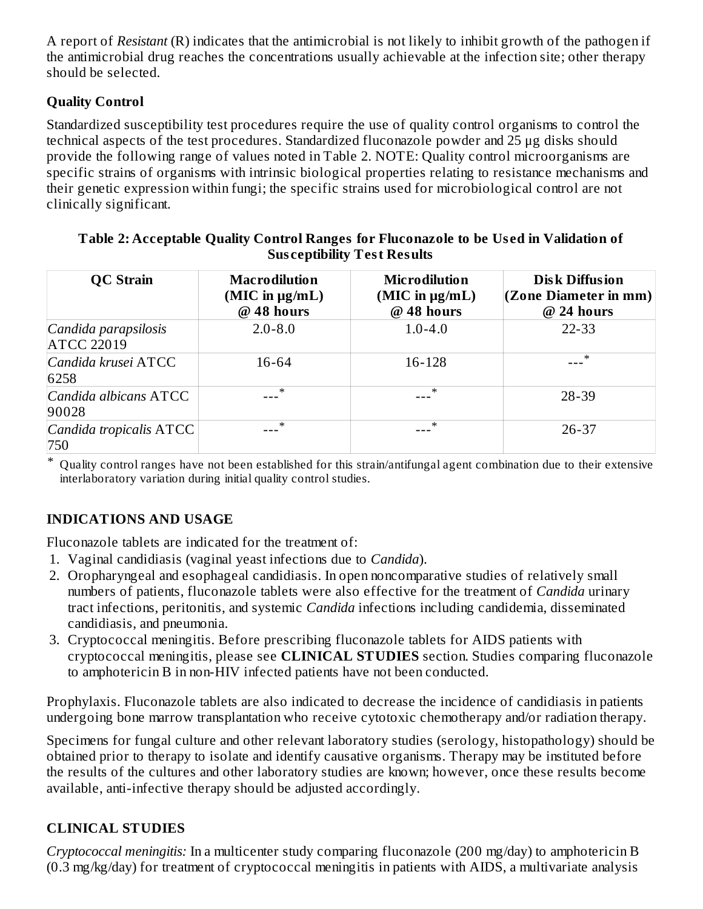A report of *Resistant* (R) indicates that the antimicrobial is not likely to inhibit growth of the pathogen if the antimicrobial drug reaches the concentrations usually achievable at the infection site; other therapy should be selected.

# **Quality Control**

Standardized susceptibility test procedures require the use of quality control organisms to control the technical aspects of the test procedures. Standardized fluconazole powder and 25 μg disks should provide the following range of values noted in Table 2. NOTE: Quality control microorganisms are specific strains of organisms with intrinsic biological properties relating to resistance mechanisms and their genetic expression within fungi; the specific strains used for microbiological control are not clinically significant.

| <b>QC</b> Strain                          | <b>Macrodilution</b><br>$(MIC$ in $\mu g/mL)$<br>@ 48 hours | <b>Microdilution</b><br>$(MIC$ in $\mu g/mL)$<br>@ 48 hours | <b>Disk Diffusion</b><br>$ $ (Zone Diameter in mm) $ $<br>@ 24 hours |  |  |  |
|-------------------------------------------|-------------------------------------------------------------|-------------------------------------------------------------|----------------------------------------------------------------------|--|--|--|
| Candida parapsilosis<br><b>ATCC 22019</b> | $2.0 - 8.0$                                                 | $1.0 - 4.0$                                                 | $22 - 33$                                                            |  |  |  |
| Candida krusei ATCC<br>6258               | 16-64                                                       | 16-128                                                      | ∗                                                                    |  |  |  |
| Candida albicans ATCC<br>90028            | $\ast$                                                      | $\ast$                                                      | 28-39                                                                |  |  |  |
| Candida tropicalis ATCC<br>750            | $\ast$                                                      | $\ast$                                                      | $26 - 37$                                                            |  |  |  |

#### **Table 2: Acceptable Quality Control Ranges for Fluconazole to be Us ed in Validation of Sus ceptibility Test Results**

\* Quality control ranges have not been established for this strain/antifungal agent combination due to their extensive interlaboratory variation during initial quality control studies.

## **INDICATIONS AND USAGE**

Fluconazole tablets are indicated for the treatment of:

- 1. Vaginal candidiasis (vaginal yeast infections due to *Candida*).
- 2. Oropharyngeal and esophageal candidiasis. In open noncomparative studies of relatively small numbers of patients, fluconazole tablets were also effective for the treatment of *Candida* urinary tract infections, peritonitis, and systemic *Candida* infections including candidemia, disseminated candidiasis, and pneumonia.
- 3. Cryptococcal meningitis. Before prescribing fluconazole tablets for AIDS patients with cryptococcal meningitis, please see **CLINICAL STUDIES** section. Studies comparing fluconazole to amphotericin B in non-HIV infected patients have not been conducted.

Prophylaxis. Fluconazole tablets are also indicated to decrease the incidence of candidiasis in patients undergoing bone marrow transplantation who receive cytotoxic chemotherapy and/or radiation therapy.

Specimens for fungal culture and other relevant laboratory studies (serology, histopathology) should be obtained prior to therapy to isolate and identify causative organisms. Therapy may be instituted before the results of the cultures and other laboratory studies are known; however, once these results become available, anti-infective therapy should be adjusted accordingly.

## **CLINICAL STUDIES**

*Cryptococcal meningitis:* In a multicenter study comparing fluconazole (200 mg/day) to amphotericin B (0.3 mg/kg/day) for treatment of cryptococcal meningitis in patients with AIDS, a multivariate analysis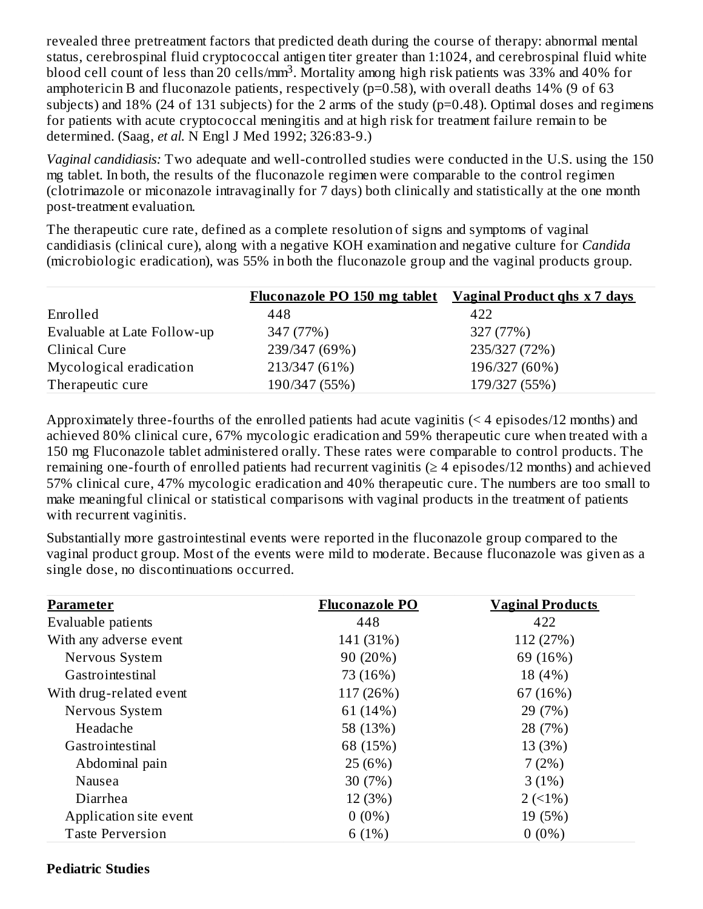revealed three pretreatment factors that predicted death during the course of therapy: abnormal mental status, cerebrospinal fluid cryptococcal antigen titer greater than 1:1024, and cerebrospinal fluid white blood cell count of less than 20 cells/mm<sup>3</sup>. Mortality among high risk patients was 33% and 40% for amphotericin B and fluconazole patients, respectively (p=0.58), with overall deaths 14% (9 of 63 subjects) and 18% (24 of 131 subjects) for the 2 arms of the study (p=0.48). Optimal doses and regimens for patients with acute cryptococcal meningitis and at high risk for treatment failure remain to be determined. (Saag, *et al.* N Engl J Med 1992; 326:83-9.)

*Vaginal candidiasis:* Two adequate and well-controlled studies were conducted in the U.S. using the 150 mg tablet. In both, the results of the fluconazole regimen were comparable to the control regimen (clotrimazole or miconazole intravaginally for 7 days) both clinically and statistically at the one month post-treatment evaluation.

The therapeutic cure rate, defined as a complete resolution of signs and symptoms of vaginal candidiasis (clinical cure), along with a negative KOH examination and negative culture for *Candida* (microbiologic eradication), was 55% in both the fluconazole group and the vaginal products group.

|                             | <u>Fluconazole PO 150 mg tablet Vaginal Product qhs x 7 days</u> |               |
|-----------------------------|------------------------------------------------------------------|---------------|
| Enrolled                    | 448                                                              | 422           |
| Evaluable at Late Follow-up | 347 (77%)                                                        | 327 (77%)     |
| Clinical Cure               | 239/347 (69%)                                                    | 235/327 (72%) |
| Mycological eradication     | 213/347 (61%)                                                    | 196/327 (60%) |
| Therapeutic cure            | 190/347 (55%)                                                    | 179/327 (55%) |

Approximately three-fourths of the enrolled patients had acute vaginitis (< 4 episodes/12 months) and achieved 80% clinical cure, 67% mycologic eradication and 59% therapeutic cure when treated with a 150 mg Fluconazole tablet administered orally. These rates were comparable to control products. The remaining one-fourth of enrolled patients had recurrent vaginitis ( $\geq 4$  episodes/12 months) and achieved 57% clinical cure, 47% mycologic eradication and 40% therapeutic cure. The numbers are too small to make meaningful clinical or statistical comparisons with vaginal products in the treatment of patients with recurrent vaginitis.

Substantially more gastrointestinal events were reported in the fluconazole group compared to the vaginal product group. Most of the events were mild to moderate. Because fluconazole was given as a single dose, no discontinuations occurred.

| <b>Parameter</b>        | <b>Fluconazole PO</b> | <b>Vaginal Products</b> |
|-------------------------|-----------------------|-------------------------|
| Evaluable patients      | 448                   | 422                     |
| With any adverse event  | 141 (31%)             | 112 (27%)               |
| Nervous System          | 90 (20%)              | 69 (16%)                |
| Gastrointestinal        | 73 (16%)              | 18 (4%)                 |
| With drug-related event | 117 (26%)             | 67 (16%)                |
| Nervous System          | 61 (14%)              | 29 (7%)                 |
| Headache                | 58 (13%)              | 28 (7%)                 |
| Gastrointestinal        | 68 (15%)              | 13 (3%)                 |
| Abdominal pain          | 25 (6%)               | 7(2%)                   |
| Nausea                  | 30 (7%)               | 3(1%)                   |
| Diarrhea                | 12 (3%)               | $2(1\%)$                |
| Application site event  | $0(0\%)$              | 19 (5%)                 |
| <b>Taste Perversion</b> | 6(1%)                 | $0(0\%)$                |

#### **Pediatric Studies**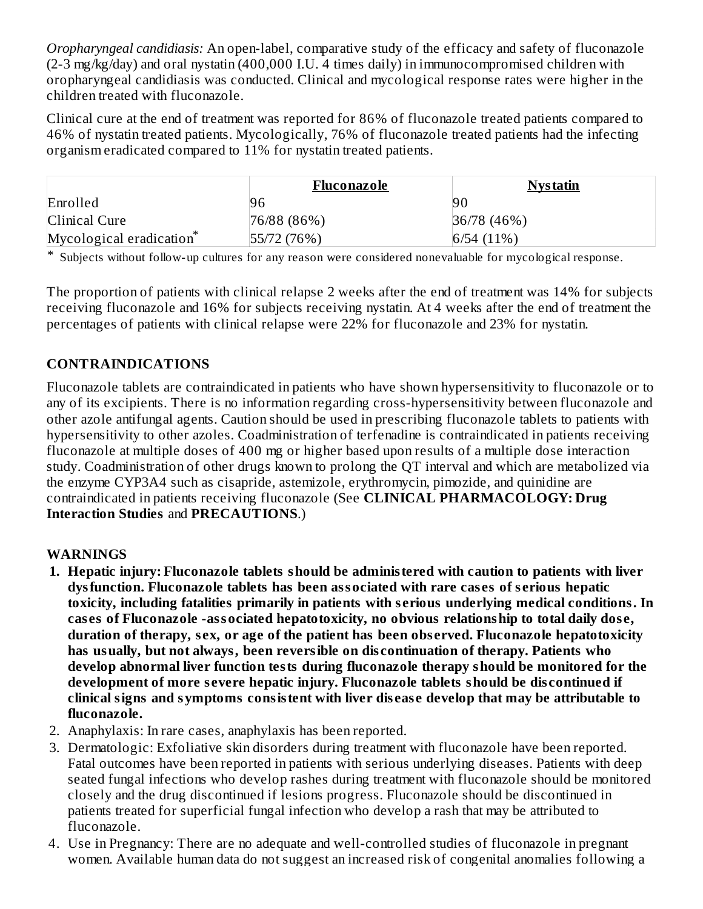*Oropharyngeal candidiasis:* An open-label, comparative study of the efficacy and safety of fluconazole (2-3 mg/kg/day) and oral nystatin (400,000 I.U. 4 times daily) in immunocompromised children with oropharyngeal candidiasis was conducted. Clinical and mycological response rates were higher in the children treated with fluconazole.

Clinical cure at the end of treatment was reported for 86% of fluconazole treated patients compared to 46% of nystatin treated patients. Mycologically, 76% of fluconazole treated patients had the infecting organism eradicated compared to 11% for nystatin treated patients.

|                                      | Fluconazole | <u>Nystatin</u> |
|--------------------------------------|-------------|-----------------|
| Enrolled                             | 96          | 90              |
| Clinical Cure                        | 76/88 (86%) | 36/78(46%)      |
| Mycological eradication <sup>*</sup> | 55/72(76%)  | 6/54(11%)       |

\* Subjects without follow-up cultures for any reason were considered nonevaluable for mycological response.

The proportion of patients with clinical relapse 2 weeks after the end of treatment was 14% for subjects receiving fluconazole and 16% for subjects receiving nystatin. At 4 weeks after the end of treatment the percentages of patients with clinical relapse were 22% for fluconazole and 23% for nystatin.

#### **CONTRAINDICATIONS**

Fluconazole tablets are contraindicated in patients who have shown hypersensitivity to fluconazole or to any of its excipients. There is no information regarding cross-hypersensitivity between fluconazole and other azole antifungal agents. Caution should be used in prescribing fluconazole tablets to patients with hypersensitivity to other azoles. Coadministration of terfenadine is contraindicated in patients receiving fluconazole at multiple doses of 400 mg or higher based upon results of a multiple dose interaction study. Coadministration of other drugs known to prolong the QT interval and which are metabolized via the enzyme CYP3A4 such as cisapride, astemizole, erythromycin, pimozide, and quinidine are contraindicated in patients receiving fluconazole (See **CLINICAL PHARMACOLOGY: Drug Interaction Studies** and **PRECAUTIONS**.)

#### **WARNINGS**

- **1. Hepatic injury: Fluconazole tablets should be administered with caution to patients with liver dysfunction. Fluconazole tablets has been associated with rare cas es of s erious hepatic toxicity, including fatalities primarily in patients with s erious underlying medical conditions. In cas es of Fluconazole -associated hepatotoxicity, no obvious relationship to total daily dos e, duration of therapy, s ex, or age of the patient has been obs erved. Fluconazole hepatotoxicity has usually, but not always, been reversible on dis continuation of therapy. Patients who develop abnormal liver function tests during fluconazole therapy should be monitored for the development of more s evere hepatic injury. Fluconazole tablets should be dis continued if clinical signs and symptoms consistent with liver dis eas e develop that may be attributable to fluconazole.**
- 2. Anaphylaxis: In rare cases, anaphylaxis has been reported.
- 3. Dermatologic: Exfoliative skin disorders during treatment with fluconazole have been reported. Fatal outcomes have been reported in patients with serious underlying diseases. Patients with deep seated fungal infections who develop rashes during treatment with fluconazole should be monitored closely and the drug discontinued if lesions progress. Fluconazole should be discontinued in patients treated for superficial fungal infection who develop a rash that may be attributed to fluconazole.
- 4. Use in Pregnancy: There are no adequate and well-controlled studies of fluconazole in pregnant women. Available human data do not suggest an increased risk of congenital anomalies following a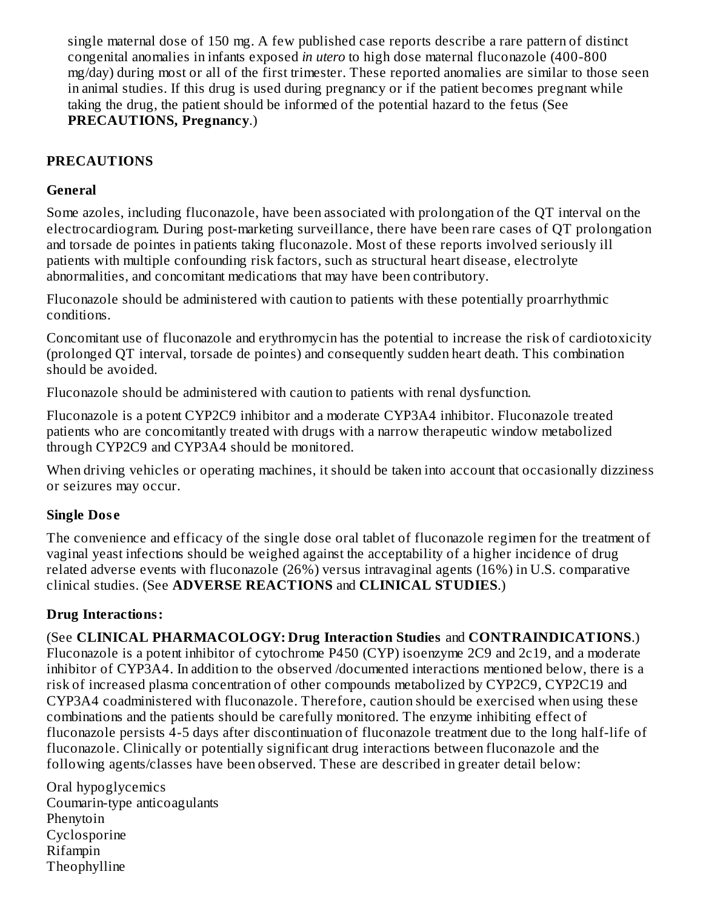single maternal dose of 150 mg. A few published case reports describe a rare pattern of distinct congenital anomalies in infants exposed *in utero* to high dose maternal fluconazole (400-800 mg/day) during most or all of the first trimester. These reported anomalies are similar to those seen in animal studies. If this drug is used during pregnancy or if the patient becomes pregnant while taking the drug, the patient should be informed of the potential hazard to the fetus (See **PRECAUTIONS, Pregnancy**.)

## **PRECAUTIONS**

#### **General**

Some azoles, including fluconazole, have been associated with prolongation of the QT interval on the electrocardiogram. During post-marketing surveillance, there have been rare cases of QT prolongation and torsade de pointes in patients taking fluconazole. Most of these reports involved seriously ill patients with multiple confounding risk factors, such as structural heart disease, electrolyte abnormalities, and concomitant medications that may have been contributory.

Fluconazole should be administered with caution to patients with these potentially proarrhythmic conditions.

Concomitant use of fluconazole and erythromycin has the potential to increase the risk of cardiotoxicity (prolonged QT interval, torsade de pointes) and consequently sudden heart death. This combination should be avoided.

Fluconazole should be administered with caution to patients with renal dysfunction.

Fluconazole is a potent CYP2C9 inhibitor and a moderate CYP3A4 inhibitor. Fluconazole treated patients who are concomitantly treated with drugs with a narrow therapeutic window metabolized through CYP2C9 and CYP3A4 should be monitored.

When driving vehicles or operating machines, it should be taken into account that occasionally dizziness or seizures may occur.

## **Single Dos e**

The convenience and efficacy of the single dose oral tablet of fluconazole regimen for the treatment of vaginal yeast infections should be weighed against the acceptability of a higher incidence of drug related adverse events with fluconazole (26%) versus intravaginal agents (16%) in U.S. comparative clinical studies. (See **ADVERSE REACTIONS** and **CLINICAL STUDIES**.)

#### **Drug Interactions:**

(See **CLINICAL PHARMACOLOGY: Drug Interaction Studies** and **CONTRAINDICATIONS**.) Fluconazole is a potent inhibitor of cytochrome P450 (CYP) isoenzyme 2C9 and 2c19, and a moderate inhibitor of CYP3A4. In addition to the observed /documented interactions mentioned below, there is a risk of increased plasma concentration of other compounds metabolized by CYP2C9, CYP2C19 and CYP3A4 coadministered with fluconazole. Therefore, caution should be exercised when using these combinations and the patients should be carefully monitored. The enzyme inhibiting effect of fluconazole persists 4-5 days after discontinuation of fluconazole treatment due to the long half-life of fluconazole. Clinically or potentially significant drug interactions between fluconazole and the following agents/classes have been observed. These are described in greater detail below:

Oral hypoglycemics Coumarin-type anticoagulants Phenytoin Cyclosporine Rifampin Theophylline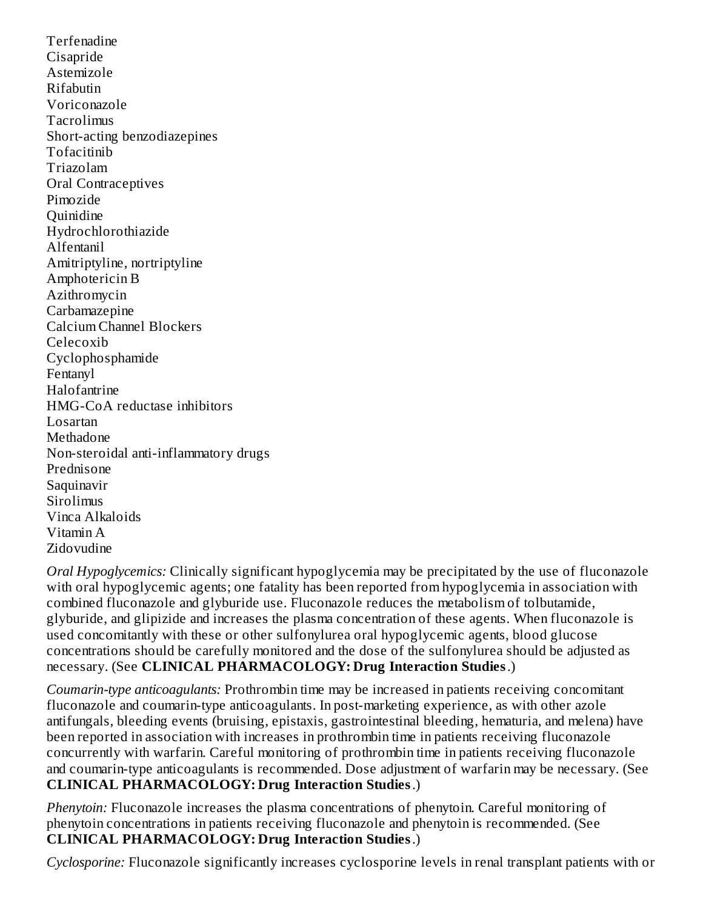Terfenadine Cisapride Astemizole Rifabutin Voriconazole Tacrolimus Short-acting benzodiazepines Tofacitinib Triazolam Oral Contraceptives Pimozide **Quinidine** Hydrochlorothiazide Alfentanil Amitriptyline, nortriptyline Amphotericin B Azithromycin **Carbamazepine** Calcium Channel Blockers Celecoxib Cyclophosphamide Fentanyl Halofantrine HMG-CoA reductase inhibitors Losartan Methadone Non-steroidal anti-inflammatory drugs Prednisone Saquinavir **Sirolimus** Vinca Alkaloids Vitamin A Zidovudine

*Oral Hypoglycemics:* Clinically significant hypoglycemia may be precipitated by the use of fluconazole with oral hypoglycemic agents; one fatality has been reported from hypoglycemia in association with combined fluconazole and glyburide use. Fluconazole reduces the metabolism of tolbutamide, glyburide, and glipizide and increases the plasma concentration of these agents. When fluconazole is used concomitantly with these or other sulfonylurea oral hypoglycemic agents, blood glucose concentrations should be carefully monitored and the dose of the sulfonylurea should be adjusted as necessary. (See **CLINICAL PHARMACOLOGY: Drug Interaction Studies**.)

*Coumarin-type anticoagulants:* Prothrombin time may be increased in patients receiving concomitant fluconazole and coumarin-type anticoagulants. In post-marketing experience, as with other azole antifungals, bleeding events (bruising, epistaxis, gastrointestinal bleeding, hematuria, and melena) have been reported in association with increases in prothrombin time in patients receiving fluconazole concurrently with warfarin. Careful monitoring of prothrombin time in patients receiving fluconazole and coumarin-type anticoagulants is recommended. Dose adjustment of warfarin may be necessary. (See **CLINICAL PHARMACOLOGY: Drug Interaction Studies**.)

*Phenytoin:* Fluconazole increases the plasma concentrations of phenytoin. Careful monitoring of phenytoin concentrations in patients receiving fluconazole and phenytoin is recommended. (See **CLINICAL PHARMACOLOGY: Drug Interaction Studies**.)

*Cyclosporine:* Fluconazole significantly increases cyclosporine levels in renal transplant patients with or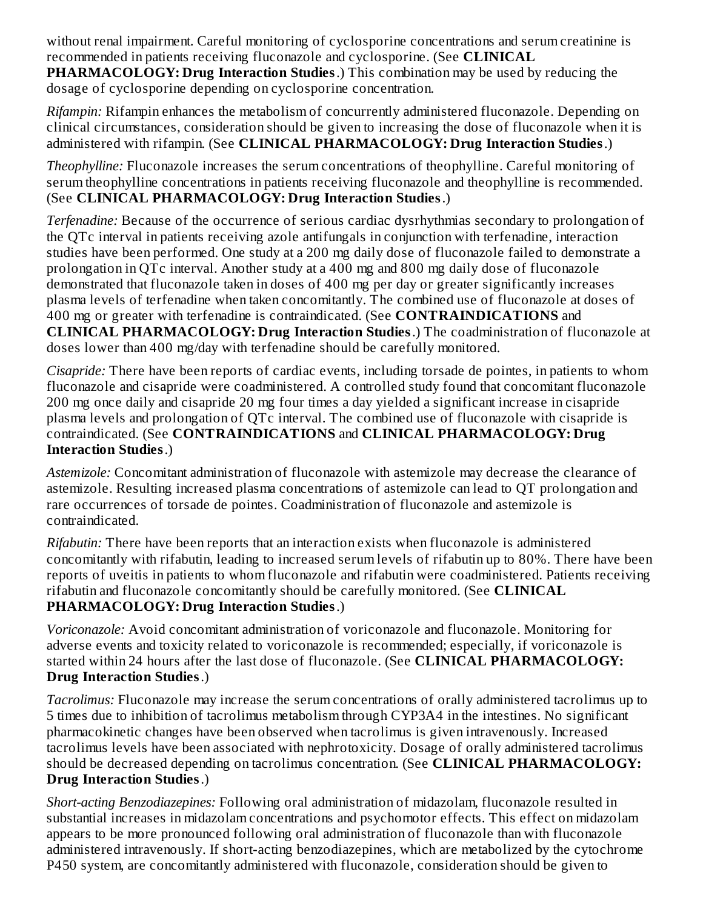without renal impairment. Careful monitoring of cyclosporine concentrations and serum creatinine is recommended in patients receiving fluconazole and cyclosporine. (See **CLINICAL PHARMACOLOGY: Drug Interaction Studies**.) This combination may be used by reducing the dosage of cyclosporine depending on cyclosporine concentration.

*Rifampin:* Rifampin enhances the metabolism of concurrently administered fluconazole. Depending on clinical circumstances, consideration should be given to increasing the dose of fluconazole when it is administered with rifampin. (See **CLINICAL PHARMACOLOGY: Drug Interaction Studies**.)

*Theophylline:* Fluconazole increases the serum concentrations of theophylline. Careful monitoring of serum theophylline concentrations in patients receiving fluconazole and theophylline is recommended. (See **CLINICAL PHARMACOLOGY: Drug Interaction Studies**.)

*Terfenadine:* Because of the occurrence of serious cardiac dysrhythmias secondary to prolongation of the QTc interval in patients receiving azole antifungals in conjunction with terfenadine, interaction studies have been performed. One study at a 200 mg daily dose of fluconazole failed to demonstrate a prolongation in QTc interval. Another study at a 400 mg and 800 mg daily dose of fluconazole demonstrated that fluconazole taken in doses of 400 mg per day or greater significantly increases plasma levels of terfenadine when taken concomitantly. The combined use of fluconazole at doses of 400 mg or greater with terfenadine is contraindicated. (See **CONTRAINDICATIONS** and **CLINICAL PHARMACOLOGY: Drug Interaction Studies**.) The coadministration of fluconazole at doses lower than 400 mg/day with terfenadine should be carefully monitored.

*Cisapride:* There have been reports of cardiac events, including torsade de pointes, in patients to whom fluconazole and cisapride were coadministered. A controlled study found that concomitant fluconazole 200 mg once daily and cisapride 20 mg four times a day yielded a significant increase in cisapride plasma levels and prolongation of QTc interval. The combined use of fluconazole with cisapride is contraindicated. (See **CONTRAINDICATIONS** and **CLINICAL PHARMACOLOGY: Drug Interaction Studies**.)

*Astemizole:* Concomitant administration of fluconazole with astemizole may decrease the clearance of astemizole. Resulting increased plasma concentrations of astemizole can lead to QT prolongation and rare occurrences of torsade de pointes. Coadministration of fluconazole and astemizole is contraindicated.

*Rifabutin:* There have been reports that an interaction exists when fluconazole is administered concomitantly with rifabutin, leading to increased serum levels of rifabutin up to 80%. There have been reports of uveitis in patients to whom fluconazole and rifabutin were coadministered. Patients receiving rifabutin and fluconazole concomitantly should be carefully monitored. (See **CLINICAL PHARMACOLOGY: Drug Interaction Studies**.)

*Voriconazole:* Avoid concomitant administration of voriconazole and fluconazole. Monitoring for adverse events and toxicity related to voriconazole is recommended; especially, if voriconazole is started within 24 hours after the last dose of fluconazole. (See **CLINICAL PHARMACOLOGY: Drug Interaction Studies**.)

*Tacrolimus:* Fluconazole may increase the serum concentrations of orally administered tacrolimus up to 5 times due to inhibition of tacrolimus metabolism through CYP3A4 in the intestines. No significant pharmacokinetic changes have been observed when tacrolimus is given intravenously. Increased tacrolimus levels have been associated with nephrotoxicity. Dosage of orally administered tacrolimus should be decreased depending on tacrolimus concentration. (See **CLINICAL PHARMACOLOGY: Drug Interaction Studies**.)

*Short-acting Benzodiazepines:* Following oral administration of midazolam, fluconazole resulted in substantial increases in midazolam concentrations and psychomotor effects. This effect on midazolam appears to be more pronounced following oral administration of fluconazole than with fluconazole administered intravenously. If short-acting benzodiazepines, which are metabolized by the cytochrome P450 system, are concomitantly administered with fluconazole, consideration should be given to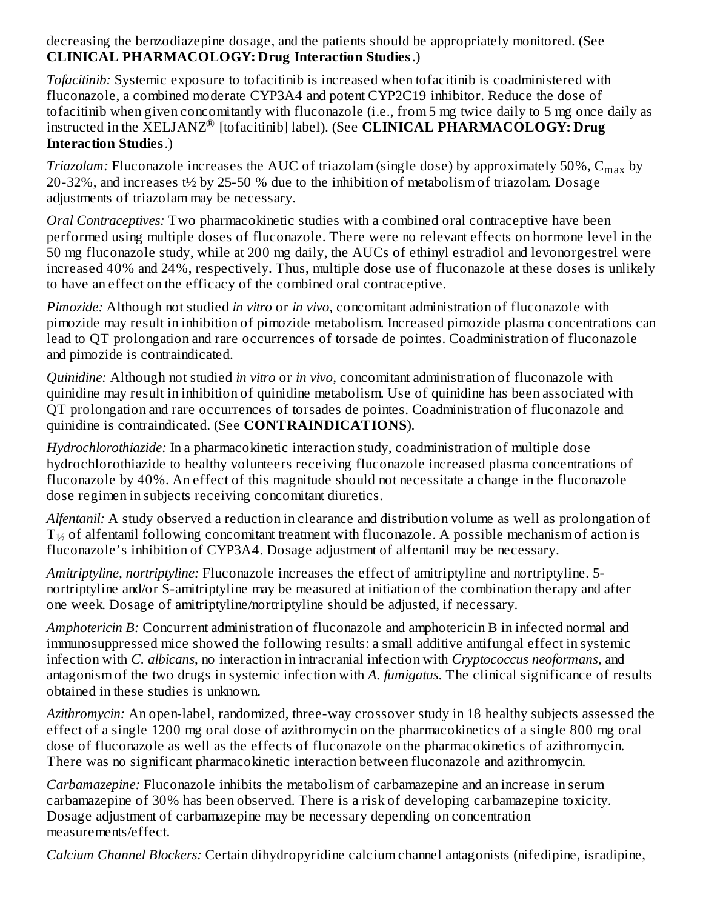decreasing the benzodiazepine dosage, and the patients should be appropriately monitored. (See **CLINICAL PHARMACOLOGY: Drug Interaction Studies**.)

*Tofacitinib:* Systemic exposure to tofacitinib is increased when tofacitinib is coadministered with fluconazole, a combined moderate CYP3A4 and potent CYP2C19 inhibitor. Reduce the dose of tofacitinib when given concomitantly with fluconazole (i.e., from 5 mg twice daily to 5 mg once daily as instructed in the  $\bar{\text{X}}$ ELJANZ® [tofacitinib] label). (See **CLINICAL PHARMACOLOGY: Drug Interaction Studies**.)

*Triazolam:* Fluconazole increases the AUC of triazolam (single dose) by approximately 50%, C<sub>max</sub> by 20-32%, and increases t½ by 25-50 % due to the inhibition of metabolism of triazolam. Dosage adjustments of triazolam may be necessary.

*Oral Contraceptives:* Two pharmacokinetic studies with a combined oral contraceptive have been performed using multiple doses of fluconazole. There were no relevant effects on hormone level in the 50 mg fluconazole study, while at 200 mg daily, the AUCs of ethinyl estradiol and levonorgestrel were increased 40% and 24%, respectively. Thus, multiple dose use of fluconazole at these doses is unlikely to have an effect on the efficacy of the combined oral contraceptive.

*Pimozide:* Although not studied *in vitro* or *in vivo*, concomitant administration of fluconazole with pimozide may result in inhibition of pimozide metabolism. Increased pimozide plasma concentrations can lead to QT prolongation and rare occurrences of torsade de pointes. Coadministration of fluconazole and pimozide is contraindicated.

*Quinidine:* Although not studied *in vitro* or *in vivo*, concomitant administration of fluconazole with quinidine may result in inhibition of quinidine metabolism. Use of quinidine has been associated with QT prolongation and rare occurrences of torsades de pointes. Coadministration of fluconazole and quinidine is contraindicated. (See **CONTRAINDICATIONS**).

*Hydrochlorothiazide:* In a pharmacokinetic interaction study, coadministration of multiple dose hydrochlorothiazide to healthy volunteers receiving fluconazole increased plasma concentrations of fluconazole by 40%. An effect of this magnitude should not necessitate a change in the fluconazole dose regimen in subjects receiving concomitant diuretics.

*Alfentanil:* A study observed a reduction in clearance and distribution volume as well as prolongation of  ${\rm T}_{\mathcal{V}_2}$  of alfentanil following concomitant treatment with fluconazole. A possible mechanism of action is fluconazole's inhibition of CYP3A4. Dosage adjustment of alfentanil may be necessary.

*Amitriptyline, nortriptyline:* Fluconazole increases the effect of amitriptyline and nortriptyline. 5 nortriptyline and/or S-amitriptyline may be measured at initiation of the combination therapy and after one week. Dosage of amitriptyline/nortriptyline should be adjusted, if necessary.

*Amphotericin B:* Concurrent administration of fluconazole and amphotericin B in infected normal and immunosuppressed mice showed the following results: a small additive antifungal effect in systemic infection with *C. albicans*, no interaction in intracranial infection with *Cryptococcus neoformans*, and antagonism of the two drugs in systemic infection with *A. fumigatus*. The clinical significance of results obtained in these studies is unknown.

*Azithromycin:* An open-label, randomized, three-way crossover study in 18 healthy subjects assessed the effect of a single 1200 mg oral dose of azithromycin on the pharmacokinetics of a single 800 mg oral dose of fluconazole as well as the effects of fluconazole on the pharmacokinetics of azithromycin. There was no significant pharmacokinetic interaction between fluconazole and azithromycin.

*Carbamazepine:* Fluconazole inhibits the metabolism of carbamazepine and an increase in serum carbamazepine of 30% has been observed. There is a risk of developing carbamazepine toxicity. Dosage adjustment of carbamazepine may be necessary depending on concentration measurements/effect.

*Calcium Channel Blockers:* Certain dihydropyridine calcium channel antagonists (nifedipine, isradipine,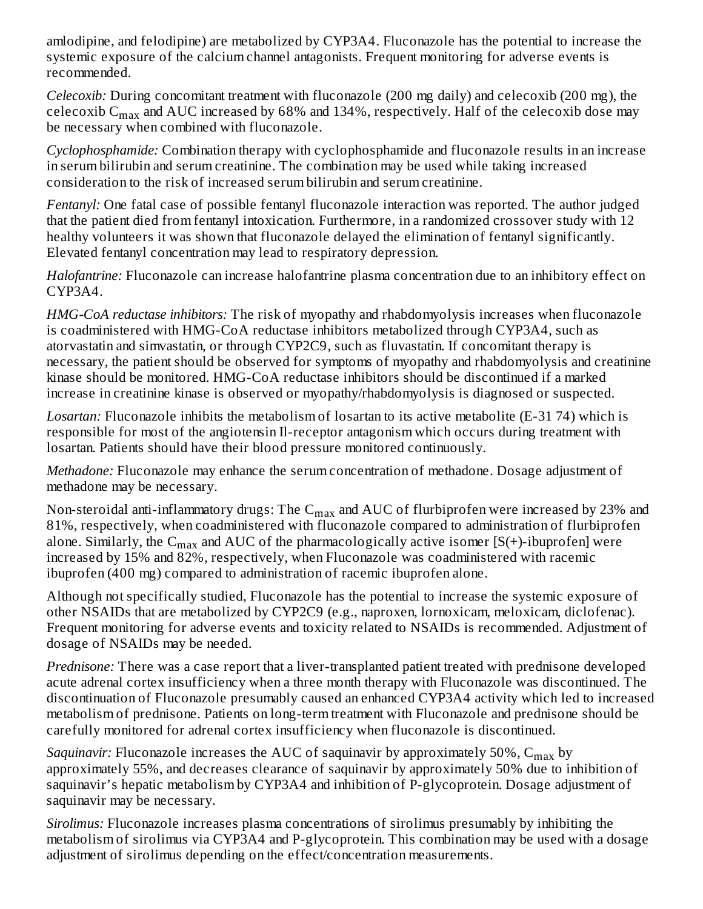amlodipine, and felodipine) are metabolized by CYP3A4. Fluconazole has the potential to increase the systemic exposure of the calcium channel antagonists. Frequent monitoring for adverse events is recommended.

*Celecoxib:* During concomitant treatment with fluconazole (200 mg daily) and celecoxib (200 mg), the celecoxib  $\mathsf{C}_{\max}$  and AUC increased by 68% and 134%, respectively. Half of the celecoxib dose may be necessary when combined with fluconazole.

*Cyclophosphamide:* Combination therapy with cyclophosphamide and fluconazole results in an increase in serum bilirubin and serum creatinine. The combination may be used while taking increased consideration to the risk of increased serum bilirubin and serum creatinine.

*Fentanyl:* One fatal case of possible fentanyl fluconazole interaction was reported. The author judged that the patient died from fentanyl intoxication. Furthermore, in a randomized crossover study with 12 healthy volunteers it was shown that fluconazole delayed the elimination of fentanyl significantly. Elevated fentanyl concentration may lead to respiratory depression.

*Halofantrine:* Fluconazole can increase halofantrine plasma concentration due to an inhibitory effect on CYP3A4.

*HMG-CoA reductase inhibitors:* The risk of myopathy and rhabdomyolysis increases when fluconazole is coadministered with HMG-CoA reductase inhibitors metabolized through CYP3A4, such as atorvastatin and simvastatin, or through CYP2C9, such as fluvastatin. If concomitant therapy is necessary, the patient should be observed for symptoms of myopathy and rhabdomyolysis and creatinine kinase should be monitored. HMG-CoA reductase inhibitors should be discontinued if a marked increase in creatinine kinase is observed or myopathy/rhabdomyolysis is diagnosed or suspected.

*Losartan:* Fluconazole inhibits the metabolism of losartan to its active metabolite (E-31 74) which is responsible for most of the angiotensin Il-receptor antagonism which occurs during treatment with losartan. Patients should have their blood pressure monitored continuously.

*Methadone:* Fluconazole may enhance the serum concentration of methadone. Dosage adjustment of methadone may be necessary.

Non-steroidal anti-inflammatory drugs: The  $\rm{C_{max}}$  and  $\rm{AUC}$  of flurbiprofen were increased by 23% and 81%, respectively, when coadministered with fluconazole compared to administration of flurbiprofen alone. Similarly, the  $\mathsf{C}_{\max}$  and AUC of the pharmacologically active isomer [S(+)-ibuprofen] were increased by 15% and 82%, respectively, when Fluconazole was coadministered with racemic ibuprofen (400 mg) compared to administration of racemic ibuprofen alone.

Although not specifically studied, Fluconazole has the potential to increase the systemic exposure of other NSAIDs that are metabolized by CYP2C9 (e.g., naproxen, lornoxicam, meloxicam, diclofenac). Frequent monitoring for adverse events and toxicity related to NSAIDs is recommended. Adjustment of dosage of NSAIDs may be needed.

*Prednisone:* There was a case report that a liver-transplanted patient treated with prednisone developed acute adrenal cortex insufficiency when a three month therapy with Fluconazole was discontinued. The discontinuation of Fluconazole presumably caused an enhanced CYP3A4 activity which led to increased metabolism of prednisone. Patients on long-term treatment with Fluconazole and prednisone should be carefully monitored for adrenal cortex insufficiency when fluconazole is discontinued.

*Saquinavir:* Fluconazole increases the AUC of saquinavir by approximately 50%, C<sub>max</sub> by approximately 55%, and decreases clearance of saquinavir by approximately 50% due to inhibition of saquinavir's hepatic metabolism by CYP3A4 and inhibition of P-glycoprotein. Dosage adjustment of saquinavir may be necessary.

*Sirolimus:* Fluconazole increases plasma concentrations of sirolimus presumably by inhibiting the metabolism of sirolimus via CYP3A4 and P-glycoprotein. This combination may be used with a dosage adjustment of sirolimus depending on the effect/concentration measurements.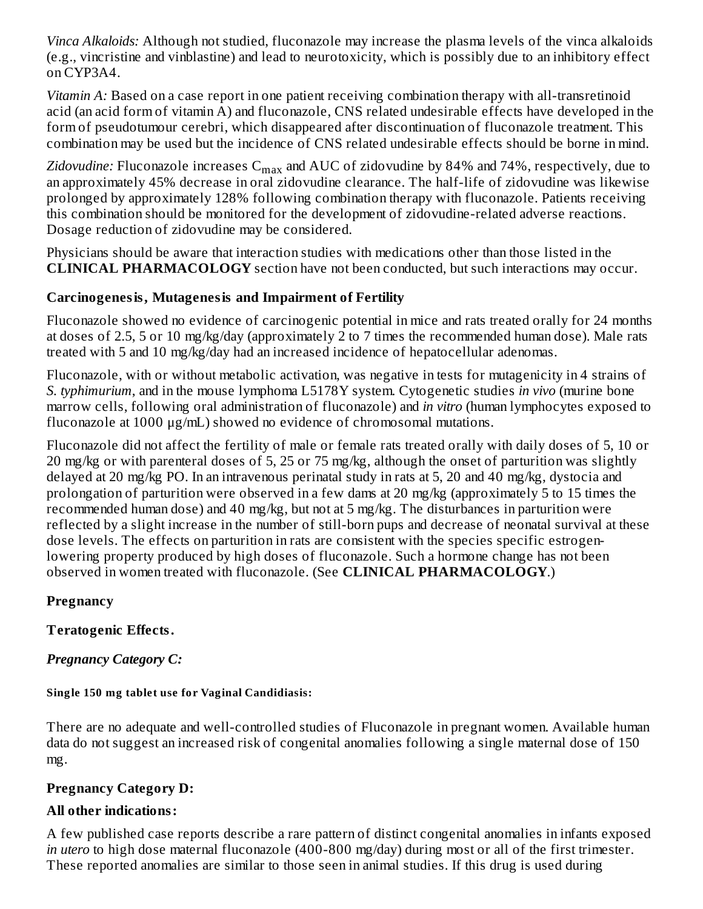*Vinca Alkaloids:* Although not studied, fluconazole may increase the plasma levels of the vinca alkaloids (e.g., vincristine and vinblastine) and lead to neurotoxicity, which is possibly due to an inhibitory effect on CYP3A4.

*Vitamin A:* Based on a case report in one patient receiving combination therapy with all-transretinoid acid (an acid form of vitamin A) and fluconazole, CNS related undesirable effects have developed in the form of pseudotumour cerebri, which disappeared after discontinuation of fluconazole treatment. This combination may be used but the incidence of CNS related undesirable effects should be borne in mind.

*Zidovudine:* Fluconazole increases  $\mathsf{C}_{\max}$  and AUC of zidovudine by 84% and 74%, respectively, due to an approximately 45% decrease in oral zidovudine clearance. The half-life of zidovudine was likewise prolonged by approximately 128% following combination therapy with fluconazole. Patients receiving this combination should be monitored for the development of zidovudine-related adverse reactions. Dosage reduction of zidovudine may be considered.

Physicians should be aware that interaction studies with medications other than those listed in the **CLINICAL PHARMACOLOGY** section have not been conducted, but such interactions may occur.

# **Carcinogenesis, Mutagenesis and Impairment of Fertility**

Fluconazole showed no evidence of carcinogenic potential in mice and rats treated orally for 24 months at doses of 2.5, 5 or 10 mg/kg/day (approximately 2 to 7 times the recommended human dose). Male rats treated with 5 and 10 mg/kg/day had an increased incidence of hepatocellular adenomas.

Fluconazole, with or without metabolic activation, was negative in tests for mutagenicity in 4 strains of *S. typhimurium*, and in the mouse lymphoma L5178Y system. Cytogenetic studies *in vivo* (murine bone marrow cells, following oral administration of fluconazole) and *in vitro* (human lymphocytes exposed to fluconazole at 1000 μg/mL) showed no evidence of chromosomal mutations.

Fluconazole did not affect the fertility of male or female rats treated orally with daily doses of 5, 10 or 20 mg/kg or with parenteral doses of 5, 25 or 75 mg/kg, although the onset of parturition was slightly delayed at 20 mg/kg PO. In an intravenous perinatal study in rats at 5, 20 and 40 mg/kg, dystocia and prolongation of parturition were observed in a few dams at 20 mg/kg (approximately 5 to 15 times the recommended human dose) and 40 mg/kg, but not at 5 mg/kg. The disturbances in parturition were reflected by a slight increase in the number of still-born pups and decrease of neonatal survival at these dose levels. The effects on parturition in rats are consistent with the species specific estrogenlowering property produced by high doses of fluconazole. Such a hormone change has not been observed in women treated with fluconazole. (See **CLINICAL PHARMACOLOGY**.)

## **Pregnancy**

# **Teratogenic Effects.**

# *Pregnancy Category C:*

## **Single 150 mg tablet use for Vaginal Candidiasis:**

There are no adequate and well-controlled studies of Fluconazole in pregnant women. Available human data do not suggest an increased risk of congenital anomalies following a single maternal dose of 150 mg.

# **Pregnancy Category D:**

## **All other indications:**

A few published case reports describe a rare pattern of distinct congenital anomalies in infants exposed *in utero* to high dose maternal fluconazole (400-800 mg/day) during most or all of the first trimester. These reported anomalies are similar to those seen in animal studies. If this drug is used during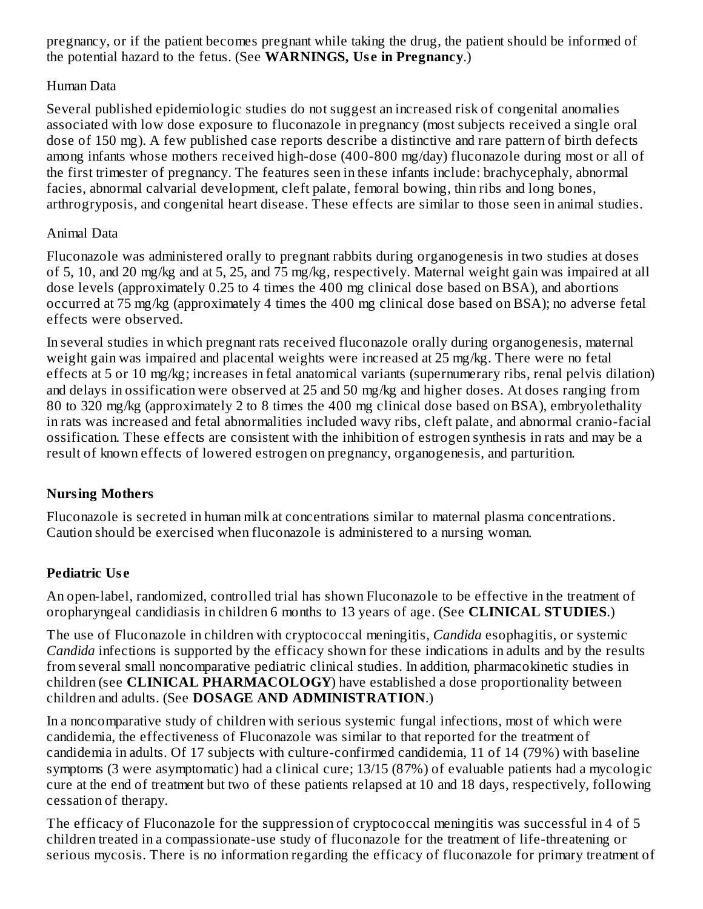pregnancy, or if the patient becomes pregnant while taking the drug, the patient should be informed of the potential hazard to the fetus. (See **WARNINGS, Us e in Pregnancy**.)

## Human Data

Several published epidemiologic studies do not suggest an increased risk of congenital anomalies associated with low dose exposure to fluconazole in pregnancy (most subjects received a single oral dose of 150 mg). A few published case reports describe a distinctive and rare pattern of birth defects among infants whose mothers received high-dose (400-800 mg/day) fluconazole during most or all of the first trimester of pregnancy. The features seen in these infants include: brachycephaly, abnormal facies, abnormal calvarial development, cleft palate, femoral bowing, thin ribs and long bones, arthrogryposis, and congenital heart disease. These effects are similar to those seen in animal studies.

## Animal Data

Fluconazole was administered orally to pregnant rabbits during organogenesis in two studies at doses of 5, 10, and 20 mg/kg and at 5, 25, and 75 mg/kg, respectively. Maternal weight gain was impaired at all dose levels (approximately 0.25 to 4 times the 400 mg clinical dose based on BSA), and abortions occurred at 75 mg/kg (approximately 4 times the 400 mg clinical dose based on BSA); no adverse fetal effects were observed.

In several studies in which pregnant rats received fluconazole orally during organogenesis, maternal weight gain was impaired and placental weights were increased at 25 mg/kg. There were no fetal effects at 5 or 10 mg/kg; increases in fetal anatomical variants (supernumerary ribs, renal pelvis dilation) and delays in ossification were observed at 25 and 50 mg/kg and higher doses. At doses ranging from 80 to 320 mg/kg (approximately 2 to 8 times the 400 mg clinical dose based on BSA), embryolethality in rats was increased and fetal abnormalities included wavy ribs, cleft palate, and abnormal cranio-facial ossification. These effects are consistent with the inhibition of estrogen synthesis in rats and may be a result of known effects of lowered estrogen on pregnancy, organogenesis, and parturition.

## **Nursing Mothers**

Fluconazole is secreted in human milk at concentrations similar to maternal plasma concentrations. Caution should be exercised when fluconazole is administered to a nursing woman.

## **Pediatric Us e**

An open-label, randomized, controlled trial has shown Fluconazole to be effective in the treatment of oropharyngeal candidiasis in children 6 months to 13 years of age. (See **CLINICAL STUDIES**.)

The use of Fluconazole in children with cryptococcal meningitis, *Candida* esophagitis, or systemic *Candida* infections is supported by the efficacy shown for these indications in adults and by the results from several small noncomparative pediatric clinical studies. In addition, pharmacokinetic studies in children (see **CLINICAL PHARMACOLOGY**) have established a dose proportionality between children and adults. (See **DOSAGE AND ADMINISTRATION**.)

In a noncomparative study of children with serious systemic fungal infections, most of which were candidemia, the effectiveness of Fluconazole was similar to that reported for the treatment of candidemia in adults. Of 17 subjects with culture-confirmed candidemia, 11 of 14 (79%) with baseline symptoms (3 were asymptomatic) had a clinical cure; 13/15 (87%) of evaluable patients had a mycologic cure at the end of treatment but two of these patients relapsed at 10 and 18 days, respectively, following cessation of therapy.

The efficacy of Fluconazole for the suppression of cryptococcal meningitis was successful in 4 of 5 children treated in a compassionate-use study of fluconazole for the treatment of life-threatening or serious mycosis. There is no information regarding the efficacy of fluconazole for primary treatment of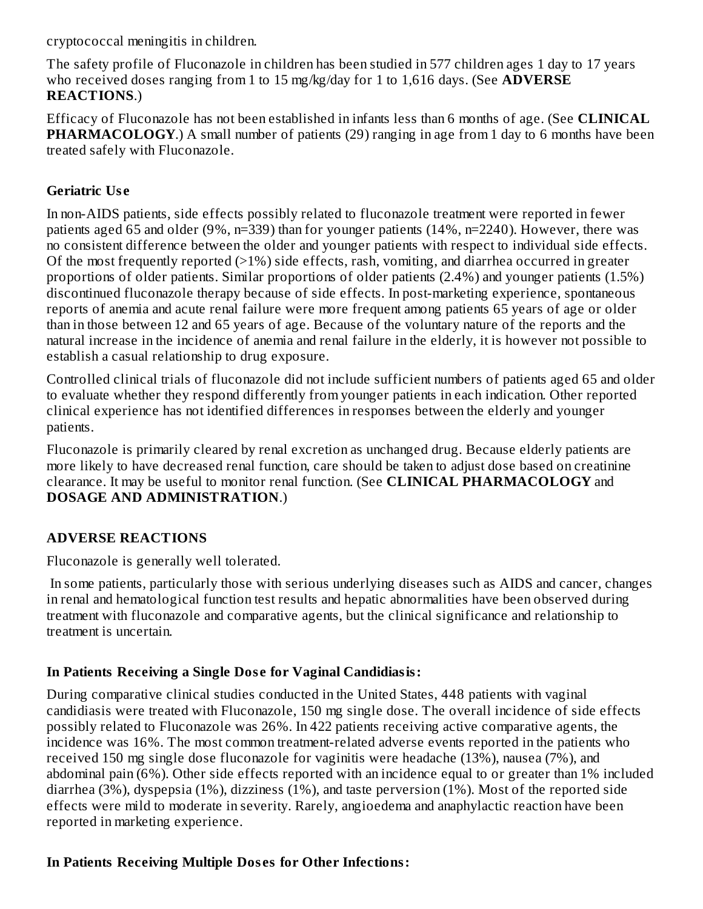cryptococcal meningitis in children.

The safety profile of Fluconazole in children has been studied in 577 children ages 1 day to 17 years who received doses ranging from 1 to 15 mg/kg/day for 1 to 1,616 days. (See **ADVERSE REACTIONS**.)

Efficacy of Fluconazole has not been established in infants less than 6 months of age. (See **CLINICAL PHARMACOLOGY.**) A small number of patients (29) ranging in age from 1 day to 6 months have been treated safely with Fluconazole.

## **Geriatric Us e**

In non-AIDS patients, side effects possibly related to fluconazole treatment were reported in fewer patients aged 65 and older (9%, n=339) than for younger patients (14%, n=2240). However, there was no consistent difference between the older and younger patients with respect to individual side effects. Of the most frequently reported (>1%) side effects, rash, vomiting, and diarrhea occurred in greater proportions of older patients. Similar proportions of older patients (2.4%) and younger patients (1.5%) discontinued fluconazole therapy because of side effects. In post-marketing experience, spontaneous reports of anemia and acute renal failure were more frequent among patients 65 years of age or older than in those between 12 and 65 years of age. Because of the voluntary nature of the reports and the natural increase in the incidence of anemia and renal failure in the elderly, it is however not possible to establish a casual relationship to drug exposure.

Controlled clinical trials of fluconazole did not include sufficient numbers of patients aged 65 and older to evaluate whether they respond differently from younger patients in each indication. Other reported clinical experience has not identified differences in responses between the elderly and younger patients.

Fluconazole is primarily cleared by renal excretion as unchanged drug. Because elderly patients are more likely to have decreased renal function, care should be taken to adjust dose based on creatinine clearance. It may be useful to monitor renal function. (See **CLINICAL PHARMACOLOGY** and **DOSAGE AND ADMINISTRATION**.)

## **ADVERSE REACTIONS**

Fluconazole is generally well tolerated.

In some patients, particularly those with serious underlying diseases such as AIDS and cancer, changes in renal and hematological function test results and hepatic abnormalities have been observed during treatment with fluconazole and comparative agents, but the clinical significance and relationship to treatment is uncertain.

## **In Patients Receiving a Single Dos e for Vaginal Candidiasis:**

During comparative clinical studies conducted in the United States, 448 patients with vaginal candidiasis were treated with Fluconazole, 150 mg single dose. The overall incidence of side effects possibly related to Fluconazole was 26%. In 422 patients receiving active comparative agents, the incidence was 16%. The most common treatment-related adverse events reported in the patients who received 150 mg single dose fluconazole for vaginitis were headache (13%), nausea (7%), and abdominal pain (6%). Other side effects reported with an incidence equal to or greater than 1% included diarrhea (3%), dyspepsia (1%), dizziness (1%), and taste perversion (1%). Most of the reported side effects were mild to moderate in severity. Rarely, angioedema and anaphylactic reaction have been reported in marketing experience.

## **In Patients Receiving Multiple Dos es for Other Infections:**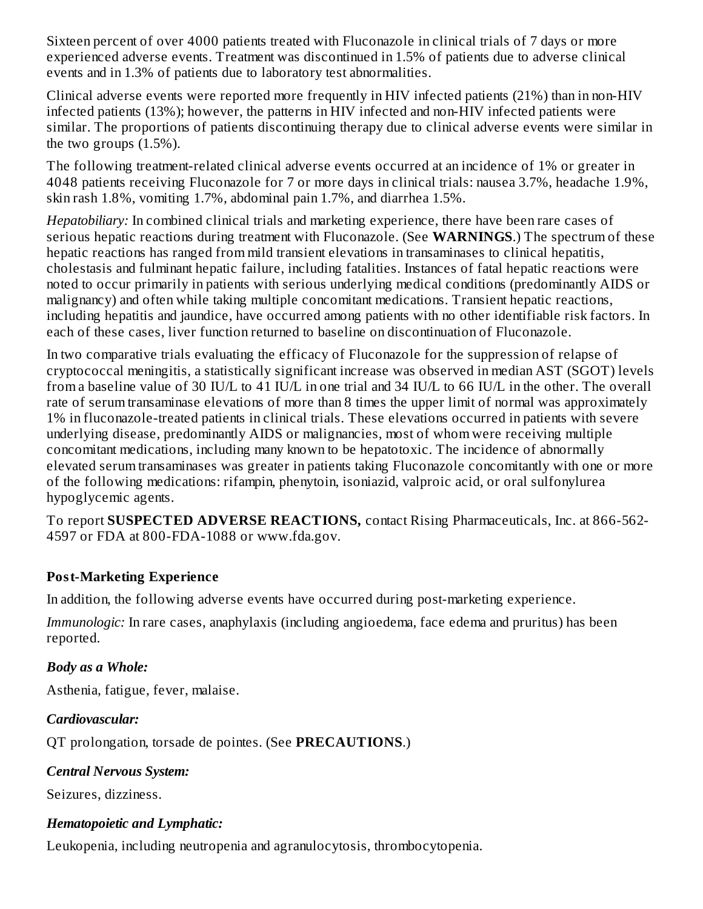Sixteen percent of over 4000 patients treated with Fluconazole in clinical trials of 7 days or more experienced adverse events. Treatment was discontinued in 1.5% of patients due to adverse clinical events and in 1.3% of patients due to laboratory test abnormalities.

Clinical adverse events were reported more frequently in HIV infected patients (21%) than in non-HIV infected patients (13%); however, the patterns in HIV infected and non-HIV infected patients were similar. The proportions of patients discontinuing therapy due to clinical adverse events were similar in the two groups  $(1.5\%)$ .

The following treatment-related clinical adverse events occurred at an incidence of 1% or greater in 4048 patients receiving Fluconazole for 7 or more days in clinical trials: nausea 3.7%, headache 1.9%, skin rash 1.8%, vomiting 1.7%, abdominal pain 1.7%, and diarrhea 1.5%.

*Hepatobiliary:* In combined clinical trials and marketing experience, there have been rare cases of serious hepatic reactions during treatment with Fluconazole. (See **WARNINGS**.) The spectrum of these hepatic reactions has ranged from mild transient elevations in transaminases to clinical hepatitis, cholestasis and fulminant hepatic failure, including fatalities. Instances of fatal hepatic reactions were noted to occur primarily in patients with serious underlying medical conditions (predominantly AIDS or malignancy) and often while taking multiple concomitant medications. Transient hepatic reactions, including hepatitis and jaundice, have occurred among patients with no other identifiable risk factors. In each of these cases, liver function returned to baseline on discontinuation of Fluconazole.

In two comparative trials evaluating the efficacy of Fluconazole for the suppression of relapse of cryptococcal meningitis, a statistically significant increase was observed in median AST (SGOT) levels from a baseline value of 30 IU/L to 41 IU/L in one trial and 34 IU/L to 66 IU/L in the other. The overall rate of serum transaminase elevations of more than 8 times the upper limit of normal was approximately 1% in fluconazole-treated patients in clinical trials. These elevations occurred in patients with severe underlying disease, predominantly AIDS or malignancies, most of whom were receiving multiple concomitant medications, including many known to be hepatotoxic. The incidence of abnormally elevated serum transaminases was greater in patients taking Fluconazole concomitantly with one or more of the following medications: rifampin, phenytoin, isoniazid, valproic acid, or oral sulfonylurea hypoglycemic agents.

To report **SUSPECTED ADVERSE REACTIONS,** contact Rising Pharmaceuticals, Inc. at 866-562- 4597 or FDA at 800-FDA-1088 or www.fda.gov.

## **Post-Marketing Experience**

In addition, the following adverse events have occurred during post-marketing experience.

*Immunologic:* In rare cases, anaphylaxis (including angioedema, face edema and pruritus) has been reported.

## *Body as a Whole:*

Asthenia, fatigue, fever, malaise.

## *Cardiovascular:*

QT prolongation, torsade de pointes. (See **PRECAUTIONS**.)

## *Central Nervous System:*

Seizures, dizziness.

## *Hematopoietic and Lymphatic:*

Leukopenia, including neutropenia and agranulocytosis, thrombocytopenia.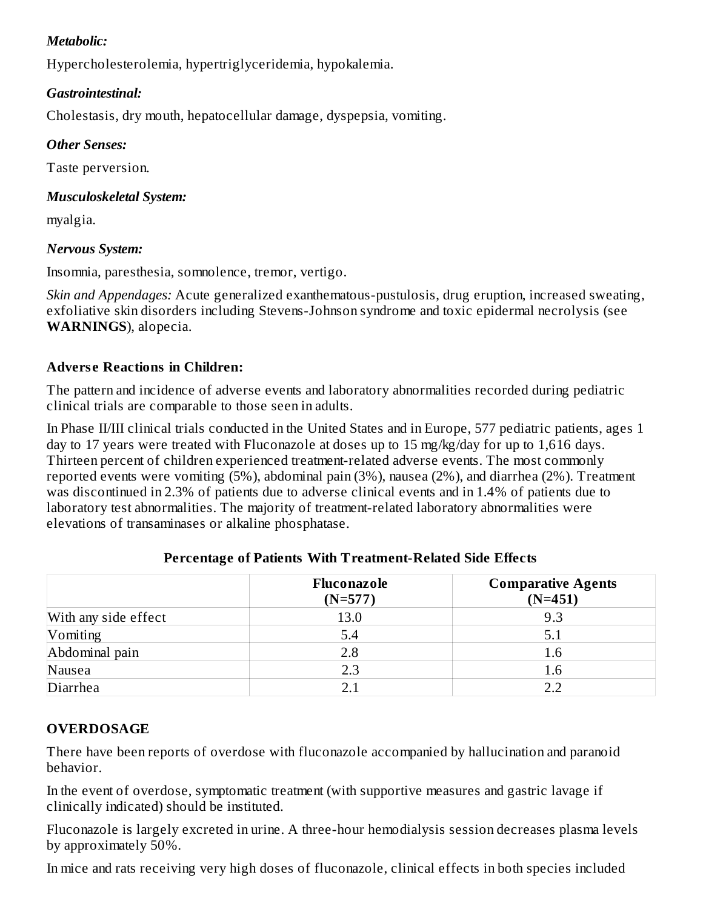## *Metabolic:*

Hypercholesterolemia, hypertriglyceridemia, hypokalemia.

## *Gastrointestinal:*

Cholestasis, dry mouth, hepatocellular damage, dyspepsia, vomiting.

## *Other Senses:*

Taste perversion.

## *Musculoskeletal System:*

myalgia.

## *Nervous System:*

Insomnia, paresthesia, somnolence, tremor, vertigo.

*Skin and Appendages:* Acute generalized exanthematous-pustulosis, drug eruption, increased sweating, exfoliative skin disorders including Stevens-Johnson syndrome and toxic epidermal necrolysis (see **WARNINGS**), alopecia.

# **Advers e Reactions in Children:**

The pattern and incidence of adverse events and laboratory abnormalities recorded during pediatric clinical trials are comparable to those seen in adults.

In Phase II/III clinical trials conducted in the United States and in Europe, 577 pediatric patients, ages 1 day to 17 years were treated with Fluconazole at doses up to 15 mg/kg/day for up to 1,616 days. Thirteen percent of children experienced treatment-related adverse events. The most commonly reported events were vomiting (5%), abdominal pain (3%), nausea (2%), and diarrhea (2%). Treatment was discontinued in 2.3% of patients due to adverse clinical events and in 1.4% of patients due to laboratory test abnormalities. The majority of treatment-related laboratory abnormalities were elevations of transaminases or alkaline phosphatase.

|                      | Fluconazole<br>$(N=577)$ | <b>Comparative Agents</b><br>$(N=451)$ |
|----------------------|--------------------------|----------------------------------------|
| With any side effect | 13.0                     | 9.3                                    |
| Vomiting             | 5.4                      | 5.1                                    |
| Abdominal pain       | 2.8                      | 1.6                                    |
| Nausea               | 2.3                      | 1.6                                    |
| Diarrhea             | 21                       | フフ                                     |

# **Percentage of Patients With Treatment-Related Side Effects**

## **OVERDOSAGE**

There have been reports of overdose with fluconazole accompanied by hallucination and paranoid behavior.

In the event of overdose, symptomatic treatment (with supportive measures and gastric lavage if clinically indicated) should be instituted.

Fluconazole is largely excreted in urine. A three-hour hemodialysis session decreases plasma levels by approximately 50%.

In mice and rats receiving very high doses of fluconazole, clinical effects in both species included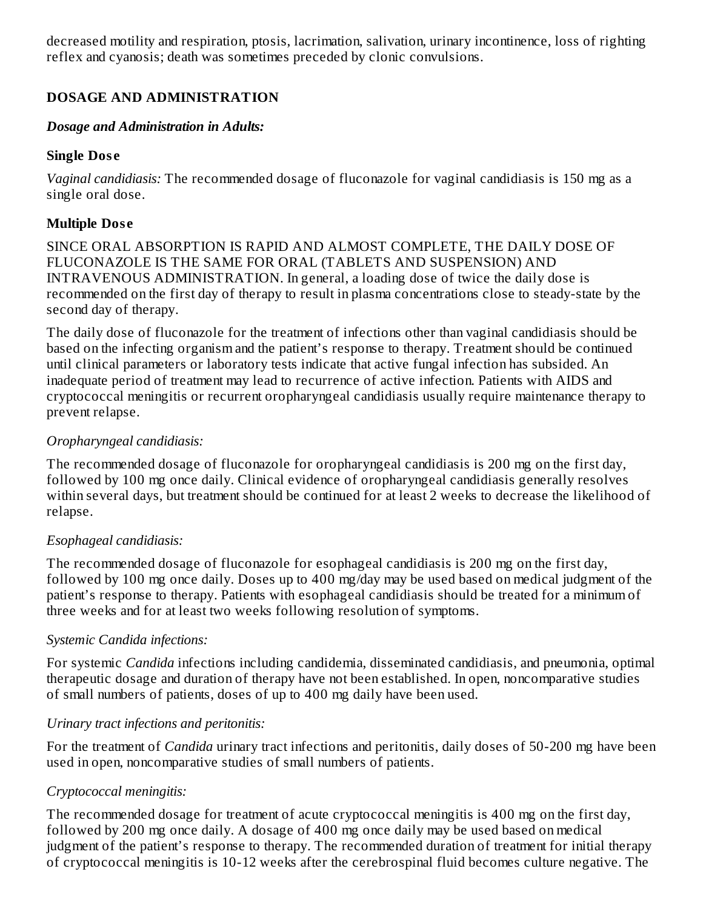decreased motility and respiration, ptosis, lacrimation, salivation, urinary incontinence, loss of righting reflex and cyanosis; death was sometimes preceded by clonic convulsions.

## **DOSAGE AND ADMINISTRATION**

#### *Dosage and Administration in Adults:*

#### **Single Dos e**

*Vaginal candidiasis:* The recommended dosage of fluconazole for vaginal candidiasis is 150 mg as a single oral dose.

## **Multiple Dos e**

SINCE ORAL ABSORPTION IS RAPID AND ALMOST COMPLETE, THE DAILY DOSE OF FLUCONAZOLE IS THE SAME FOR ORAL (TABLETS AND SUSPENSION) AND INTRAVENOUS ADMINISTRATION. In general, a loading dose of twice the daily dose is recommended on the first day of therapy to result in plasma concentrations close to steady-state by the second day of therapy.

The daily dose of fluconazole for the treatment of infections other than vaginal candidiasis should be based on the infecting organism and the patient's response to therapy. Treatment should be continued until clinical parameters or laboratory tests indicate that active fungal infection has subsided. An inadequate period of treatment may lead to recurrence of active infection. Patients with AIDS and cryptococcal meningitis or recurrent oropharyngeal candidiasis usually require maintenance therapy to prevent relapse.

## *Oropharyngeal candidiasis:*

The recommended dosage of fluconazole for oropharyngeal candidiasis is 200 mg on the first day, followed by 100 mg once daily. Clinical evidence of oropharyngeal candidiasis generally resolves within several days, but treatment should be continued for at least 2 weeks to decrease the likelihood of relapse.

#### *Esophageal candidiasis:*

The recommended dosage of fluconazole for esophageal candidiasis is 200 mg on the first day, followed by 100 mg once daily. Doses up to 400 mg/day may be used based on medical judgment of the patient's response to therapy. Patients with esophageal candidiasis should be treated for a minimum of three weeks and for at least two weeks following resolution of symptoms.

#### *Systemic Candida infections:*

For systemic *Candida* infections including candidemia, disseminated candidiasis, and pneumonia, optimal therapeutic dosage and duration of therapy have not been established. In open, noncomparative studies of small numbers of patients, doses of up to 400 mg daily have been used.

## *Urinary tract infections and peritonitis:*

For the treatment of *Candida* urinary tract infections and peritonitis, daily doses of 50-200 mg have been used in open, noncomparative studies of small numbers of patients.

## *Cryptococcal meningitis:*

The recommended dosage for treatment of acute cryptococcal meningitis is 400 mg on the first day, followed by 200 mg once daily. A dosage of 400 mg once daily may be used based on medical judgment of the patient's response to therapy. The recommended duration of treatment for initial therapy of cryptococcal meningitis is 10-12 weeks after the cerebrospinal fluid becomes culture negative. The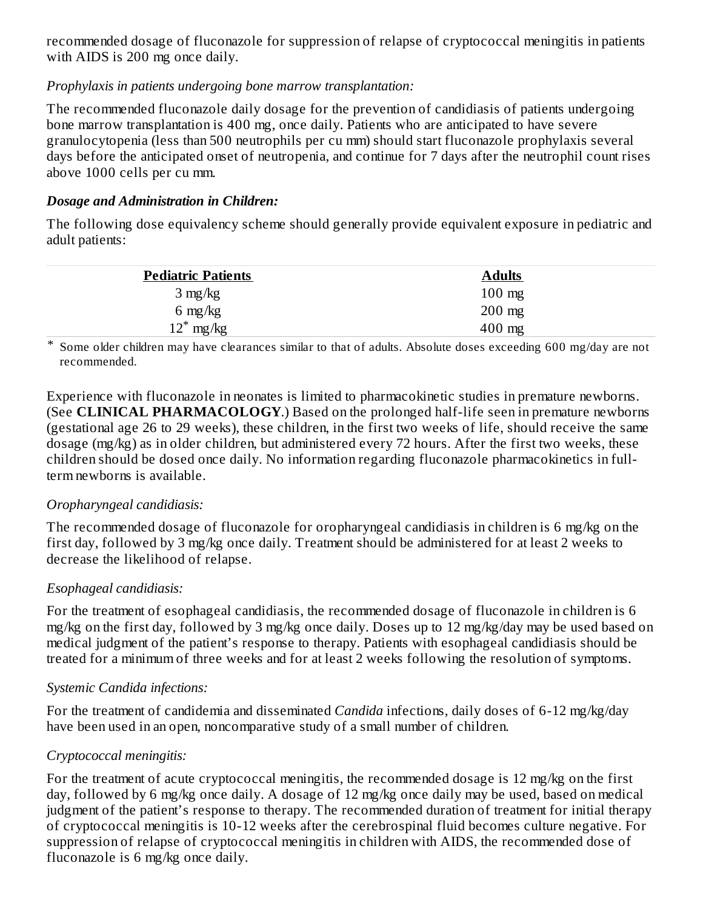recommended dosage of fluconazole for suppression of relapse of cryptococcal meningitis in patients with AIDS is 200 mg once daily.

#### *Prophylaxis in patients undergoing bone marrow transplantation:*

The recommended fluconazole daily dosage for the prevention of candidiasis of patients undergoing bone marrow transplantation is 400 mg, once daily. Patients who are anticipated to have severe granulocytopenia (less than 500 neutrophils per cu mm) should start fluconazole prophylaxis several days before the anticipated onset of neutropenia, and continue for 7 days after the neutrophil count rises above 1000 cells per cu mm.

#### *Dosage and Administration in Children:*

The following dose equivalency scheme should generally provide equivalent exposure in pediatric and adult patients:

| <b>Pediatric Patients</b> | <b>Adults</b> |
|---------------------------|---------------|
| $3 \text{ mg/kg}$         | $100$ mg      |
| $6 \text{ mg/kg}$         | $200$ mg      |
| $12^*$ mg/kg              | $400$ mg      |

\* Some older children may have clearances similar to that of adults. Absolute doses exceeding 600 mg/day are not recommended.

Experience with fluconazole in neonates is limited to pharmacokinetic studies in premature newborns. (See **CLINICAL PHARMACOLOGY**.) Based on the prolonged half-life seen in premature newborns (gestational age 26 to 29 weeks), these children, in the first two weeks of life, should receive the same dosage (mg/kg) as in older children, but administered every 72 hours. After the first two weeks, these children should be dosed once daily. No information regarding fluconazole pharmacokinetics in fullterm newborns is available.

#### *Oropharyngeal candidiasis:*

The recommended dosage of fluconazole for oropharyngeal candidiasis in children is 6 mg/kg on the first day, followed by 3 mg/kg once daily. Treatment should be administered for at least 2 weeks to decrease the likelihood of relapse.

## *Esophageal candidiasis:*

For the treatment of esophageal candidiasis, the recommended dosage of fluconazole in children is 6 mg/kg on the first day, followed by 3 mg/kg once daily. Doses up to 12 mg/kg/day may be used based on medical judgment of the patient's response to therapy. Patients with esophageal candidiasis should be treated for a minimum of three weeks and for at least 2 weeks following the resolution of symptoms.

## *Systemic Candida infections:*

For the treatment of candidemia and disseminated *Candida* infections, daily doses of 6-12 mg/kg/day have been used in an open, noncomparative study of a small number of children.

## *Cryptococcal meningitis:*

For the treatment of acute cryptococcal meningitis, the recommended dosage is 12 mg/kg on the first day, followed by 6 mg/kg once daily. A dosage of 12 mg/kg once daily may be used, based on medical judgment of the patient's response to therapy. The recommended duration of treatment for initial therapy of cryptococcal meningitis is 10-12 weeks after the cerebrospinal fluid becomes culture negative. For suppression of relapse of cryptococcal meningitis in children with AIDS, the recommended dose of fluconazole is 6 mg/kg once daily.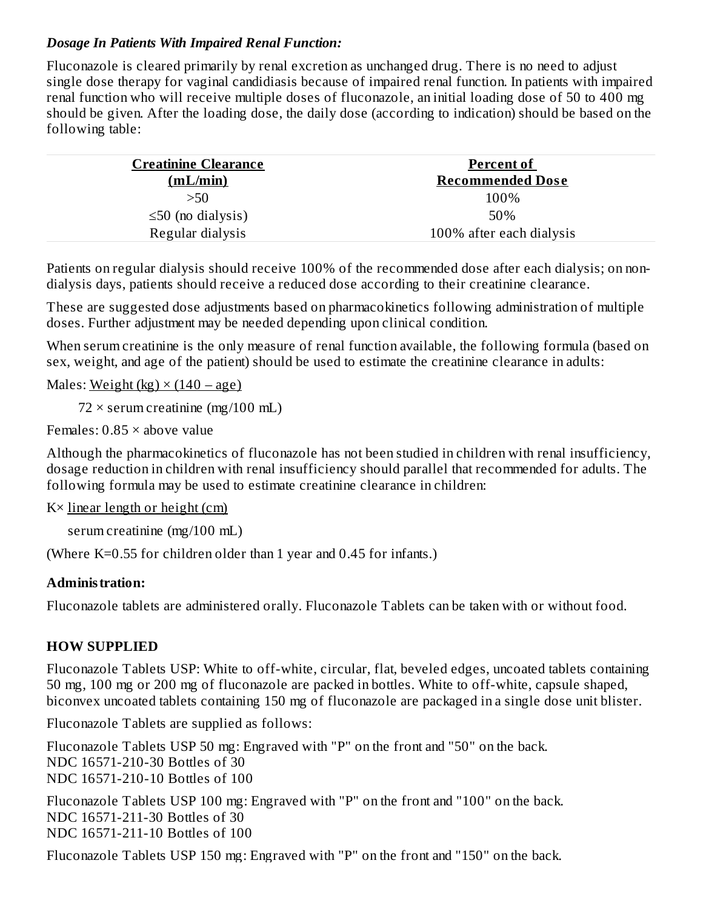#### *Dosage In Patients With Impaired Renal Function:*

Fluconazole is cleared primarily by renal excretion as unchanged drug. There is no need to adjust single dose therapy for vaginal candidiasis because of impaired renal function. In patients with impaired renal function who will receive multiple doses of fluconazole, an initial loading dose of 50 to 400 mg should be given. After the loading dose, the daily dose (according to indication) should be based on the following table:

| <b>Creatinine Clearance</b><br>(mL/min) | <b>Percent of</b><br><b>Recommended Dose</b> |
|-----------------------------------------|----------------------------------------------|
| >50                                     | 100%                                         |
| $\leq$ 50 (no dialysis)                 | 50%                                          |
| Regular dialysis                        | 100% after each dialysis                     |

Patients on regular dialysis should receive 100% of the recommended dose after each dialysis; on nondialysis days, patients should receive a reduced dose according to their creatinine clearance.

These are suggested dose adjustments based on pharmacokinetics following administration of multiple doses. Further adjustment may be needed depending upon clinical condition.

When serum creatinine is the only measure of renal function available, the following formula (based on sex, weight, and age of the patient) should be used to estimate the creatinine clearance in adults:

Males: Weight (kg)  $\times$  (140 – age)

 $72 \times$  serum creatinine (mg/100 mL)

Females: 0.85 × above value

Although the pharmacokinetics of fluconazole has not been studied in children with renal insufficiency, dosage reduction in children with renal insufficiency should parallel that recommended for adults. The following formula may be used to estimate creatinine clearance in children:

 $K \times$  linear length or height (cm)

serum creatinine (mg/100 mL)

(Where K=0.55 for children older than 1 year and 0.45 for infants.)

#### **Administration:**

Fluconazole tablets are administered orally. Fluconazole Tablets can be taken with or without food.

#### **HOW SUPPLIED**

Fluconazole Tablets USP: White to off-white, circular, flat, beveled edges, uncoated tablets containing 50 mg, 100 mg or 200 mg of fluconazole are packed in bottles. White to off-white, capsule shaped, biconvex uncoated tablets containing 150 mg of fluconazole are packaged in a single dose unit blister.

Fluconazole Tablets are supplied as follows:

Fluconazole Tablets USP 50 mg: Engraved with "P" on the front and "50" on the back. NDC 16571-210-30 Bottles of 30 NDC 16571-210-10 Bottles of 100

Fluconazole Tablets USP 100 mg: Engraved with "P" on the front and "100" on the back. NDC 16571-211-30 Bottles of 30 NDC 16571-211-10 Bottles of 100

Fluconazole Tablets USP 150 mg: Engraved with "P" on the front and "150" on the back.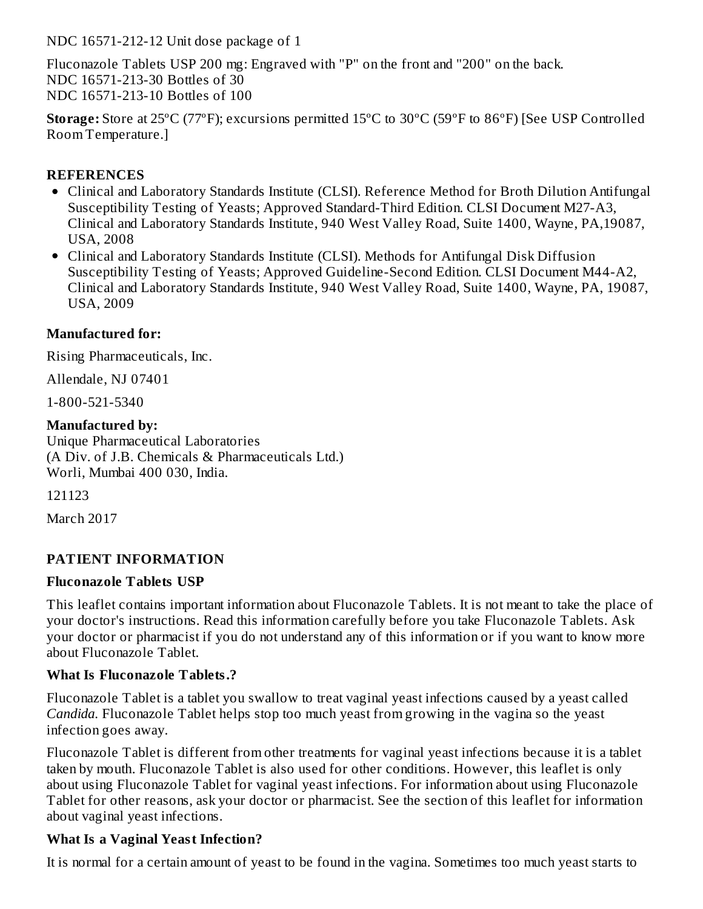NDC 16571-212-12 Unit dose package of 1

Fluconazole Tablets USP 200 mg: Engraved with "P" on the front and "200" on the back. NDC 16571-213-30 Bottles of 30 NDC 16571-213-10 Bottles of 100

**Storage:** Store at 25ºC (77ºF); excursions permitted 15ºC to 30ºC (59ºF to 86ºF) [See USP Controlled Room Temperature.]

#### **REFERENCES**

- Clinical and Laboratory Standards Institute (CLSI). Reference Method for Broth Dilution Antifungal Susceptibility Testing of Yeasts; Approved Standard-Third Edition. CLSI Document M27-A3, Clinical and Laboratory Standards Institute, 940 West Valley Road, Suite 1400, Wayne, PA,19087, USA, 2008
- Clinical and Laboratory Standards Institute (CLSI). Methods for Antifungal Disk Diffusion Susceptibility Testing of Yeasts; Approved Guideline-Second Edition. CLSI Document M44-A2, Clinical and Laboratory Standards Institute, 940 West Valley Road, Suite 1400, Wayne, PA, 19087, USA, 2009

## **Manufactured for:**

Rising Pharmaceuticals, Inc.

Allendale, NJ 07401

1-800-521-5340

#### **Manufactured by:**

Unique Pharmaceutical Laboratories (A Div. of J.B. Chemicals & Pharmaceuticals Ltd.) Worli, Mumbai 400 030, India.

121123

March 2017

## **PATIENT INFORMATION**

#### **Fluconazole Tablets USP**

This leaflet contains important information about Fluconazole Tablets. It is not meant to take the place of your doctor's instructions. Read this information carefully before you take Fluconazole Tablets. Ask your doctor or pharmacist if you do not understand any of this information or if you want to know more about Fluconazole Tablet.

#### **What Is Fluconazole Tablets.?**

Fluconazole Tablet is a tablet you swallow to treat vaginal yeast infections caused by a yeast called *Candida.* Fluconazole Tablet helps stop too much yeast from growing in the vagina so the yeast infection goes away.

Fluconazole Tablet is different from other treatments for vaginal yeast infections because it is a tablet taken by mouth. Fluconazole Tablet is also used for other conditions. However, this leaflet is only about using Fluconazole Tablet for vaginal yeast infections. For information about using Fluconazole Tablet for other reasons, ask your doctor or pharmacist. See the section of this leaflet for information about vaginal yeast infections.

## **What Is a Vaginal Yeast Infection?**

It is normal for a certain amount of yeast to be found in the vagina. Sometimes too much yeast starts to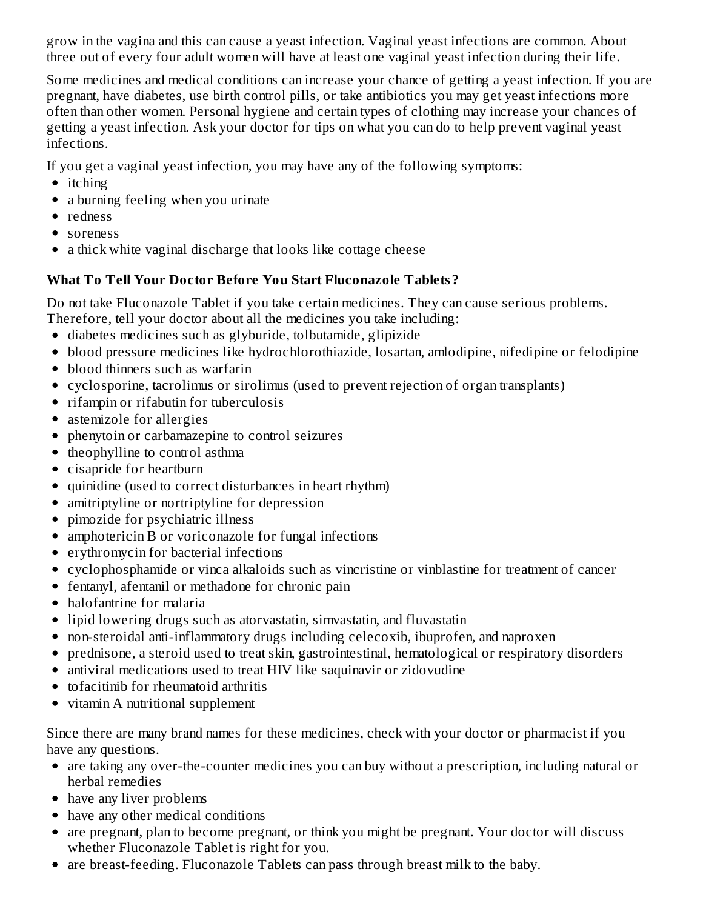grow in the vagina and this can cause a yeast infection. Vaginal yeast infections are common. About three out of every four adult women will have at least one vaginal yeast infection during their life.

Some medicines and medical conditions can increase your chance of getting a yeast infection. If you are pregnant, have diabetes, use birth control pills, or take antibiotics you may get yeast infections more often than other women. Personal hygiene and certain types of clothing may increase your chances of getting a yeast infection. Ask your doctor for tips on what you can do to help prevent vaginal yeast infections.

If you get a vaginal yeast infection, you may have any of the following symptoms:

- itching
- a burning feeling when you urinate
- redness
- soreness
- a thick white vaginal discharge that looks like cottage cheese

# **What To Tell Your Doctor Before You Start Fluconazole Tablets?**

Do not take Fluconazole Tablet if you take certain medicines. They can cause serious problems. Therefore, tell your doctor about all the medicines you take including:

- diabetes medicines such as glyburide, tolbutamide, glipizide
- blood pressure medicines like hydrochlorothiazide, losartan, amlodipine, nifedipine or felodipine
- blood thinners such as warfarin
- cyclosporine, tacrolimus or sirolimus (used to prevent rejection of organ transplants)
- rifampin or rifabutin for tuberculosis
- astemizole for allergies
- phenytoin or carbamazepine to control seizures
- theophylline to control asthma
- cisapride for heartburn
- quinidine (used to correct disturbances in heart rhythm)
- amitriptyline or nortriptyline for depression
- pimozide for psychiatric illness
- amphotericin B or voriconazole for fungal infections
- erythromycin for bacterial infections
- cyclophosphamide or vinca alkaloids such as vincristine or vinblastine for treatment of cancer
- fentanyl, afentanil or methadone for chronic pain
- halofantrine for malaria
- lipid lowering drugs such as atorvastatin, simvastatin, and fluvastatin
- non-steroidal anti-inflammatory drugs including celecoxib, ibuprofen, and naproxen
- prednisone, a steroid used to treat skin, gastrointestinal, hematological or respiratory disorders
- antiviral medications used to treat HIV like saquinavir or zidovudine
- tofacitinib for rheumatoid arthritis
- vitamin A nutritional supplement

Since there are many brand names for these medicines, check with your doctor or pharmacist if you have any questions.

- are taking any over-the-counter medicines you can buy without a prescription, including natural or herbal remedies
- have any liver problems
- have any other medical conditions
- are pregnant, plan to become pregnant, or think you might be pregnant. Your doctor will discuss whether Fluconazole Tablet is right for you.
- are breast-feeding. Fluconazole Tablets can pass through breast milk to the baby.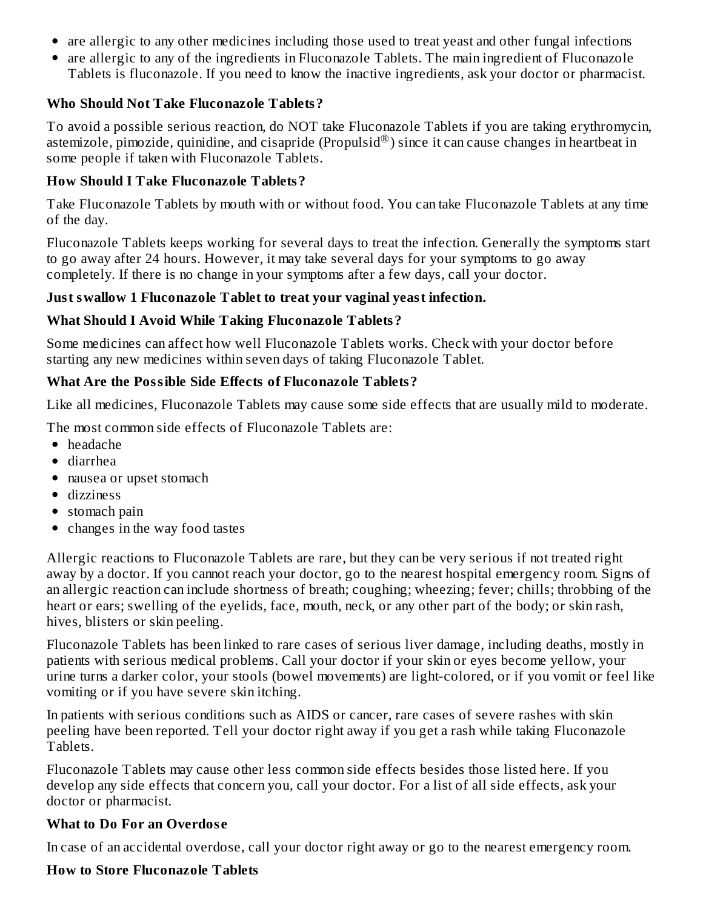- are allergic to any other medicines including those used to treat yeast and other fungal infections
- are allergic to any of the ingredients in Fluconazole Tablets. The main ingredient of Fluconazole Tablets is fluconazole. If you need to know the inactive ingredients, ask your doctor or pharmacist.

#### **Who Should Not Take Fluconazole Tablets?**

To avoid a possible serious reaction, do NOT take Fluconazole Tablets if you are taking erythromycin, astemizole, pimozide, quinidine, and cisapride (Propulsid $^{\circledR}$ ) since it can cause changes in heartbeat in some people if taken with Fluconazole Tablets.

#### **How Should I Take Fluconazole Tablets?**

Take Fluconazole Tablets by mouth with or without food. You can take Fluconazole Tablets at any time of the day.

Fluconazole Tablets keeps working for several days to treat the infection. Generally the symptoms start to go away after 24 hours. However, it may take several days for your symptoms to go away completely. If there is no change in your symptoms after a few days, call your doctor.

#### **Just swallow 1 Fluconazole Tablet to treat your vaginal yeast infection.**

#### **What Should I Avoid While Taking Fluconazole Tablets?**

Some medicines can affect how well Fluconazole Tablets works. Check with your doctor before starting any new medicines within seven days of taking Fluconazole Tablet.

#### **What Are the Possible Side Effects of Fluconazole Tablets?**

Like all medicines, Fluconazole Tablets may cause some side effects that are usually mild to moderate.

The most common side effects of Fluconazole Tablets are:

- headache
- diarrhea
- nausea or upset stomach
- dizziness
- stomach pain
- changes in the way food tastes

Allergic reactions to Fluconazole Tablets are rare, but they can be very serious if not treated right away by a doctor. If you cannot reach your doctor, go to the nearest hospital emergency room. Signs of an allergic reaction can include shortness of breath; coughing; wheezing; fever; chills; throbbing of the heart or ears; swelling of the eyelids, face, mouth, neck, or any other part of the body; or skin rash, hives, blisters or skin peeling.

Fluconazole Tablets has been linked to rare cases of serious liver damage, including deaths, mostly in patients with serious medical problems. Call your doctor if your skin or eyes become yellow, your urine turns a darker color, your stools (bowel movements) are light-colored, or if you vomit or feel like vomiting or if you have severe skin itching.

In patients with serious conditions such as AIDS or cancer, rare cases of severe rashes with skin peeling have been reported. Tell your doctor right away if you get a rash while taking Fluconazole Tablets.

Fluconazole Tablets may cause other less common side effects besides those listed here. If you develop any side effects that concern you, call your doctor. For a list of all side effects, ask your doctor or pharmacist.

#### **What to Do For an Overdos e**

In case of an accidental overdose, call your doctor right away or go to the nearest emergency room.

#### **How to Store Fluconazole Tablets**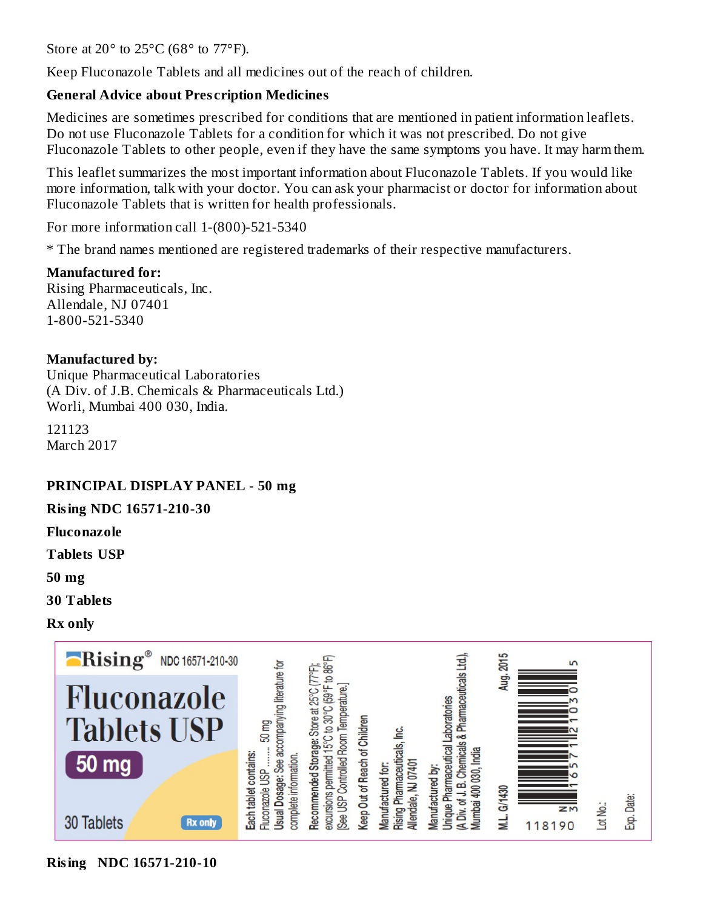Store at 20 $\degree$  to 25 $\degree$ C (68 $\degree$  to 77 $\degree$ F).

Keep Fluconazole Tablets and all medicines out of the reach of children.

#### **General Advice about Pres cription Medicines**

Medicines are sometimes prescribed for conditions that are mentioned in patient information leaflets. Do not use Fluconazole Tablets for a condition for which it was not prescribed. Do not give Fluconazole Tablets to other people, even if they have the same symptoms you have. It may harm them.

This leaflet summarizes the most important information about Fluconazole Tablets. If you would like more information, talk with your doctor. You can ask your pharmacist or doctor for information about Fluconazole Tablets that is written for health professionals.

For more information call 1-(800)-521-5340

\* The brand names mentioned are registered trademarks of their respective manufacturers.

#### **Manufactured for:**

Rising Pharmaceuticals, Inc. Allendale, NJ 07401 1-800-521-5340

#### **Manufactured by:**

Unique Pharmaceutical Laboratories (A Div. of J.B. Chemicals & Pharmaceuticals Ltd.) Worli, Mumbai 400 030, India.

121123 March 2017

#### **PRINCIPAL DISPLAY PANEL - 50 mg**

**Rising NDC 16571-210-30**

**Fluconazole**

**Tablets USP**

**50 mg**

**30 Tablets**

**Rx only**



**Rising NDC 16571-210-10**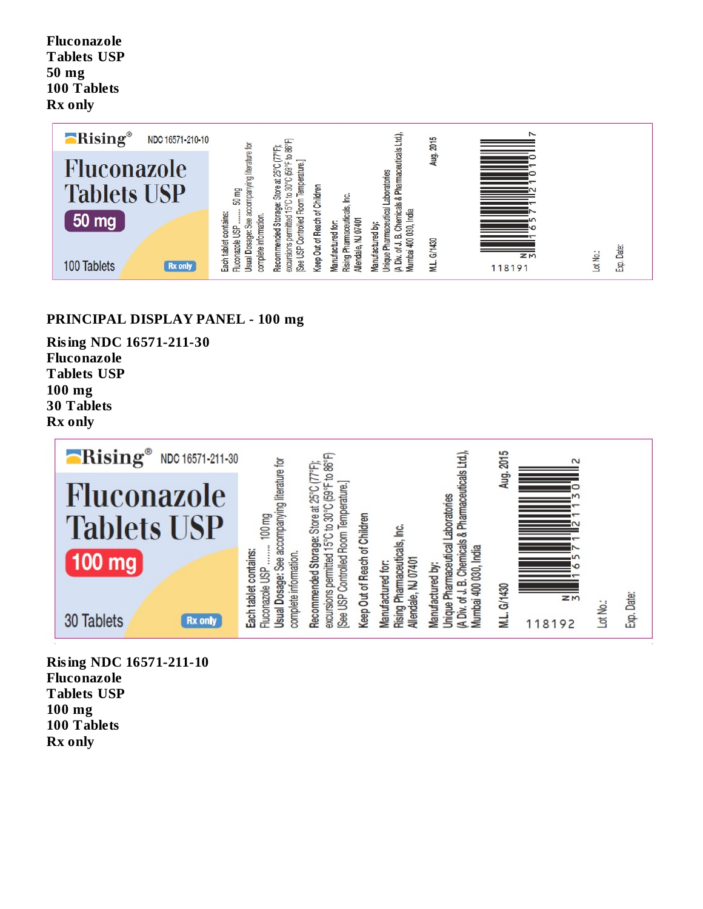**Fluconazole Tablets USP 50 mg 100 Tablets Rx only**



#### **PRINCIPAL DISPLAY PANEL - 100 mg**

**Rising NDC 16571-211-30 Fluconazole Tablets USP 100 mg 30 Tablets Rx only**



**Rising NDC 16571-211-10 Fluconazole Tablets USP 100 mg 100 Tablets Rx only**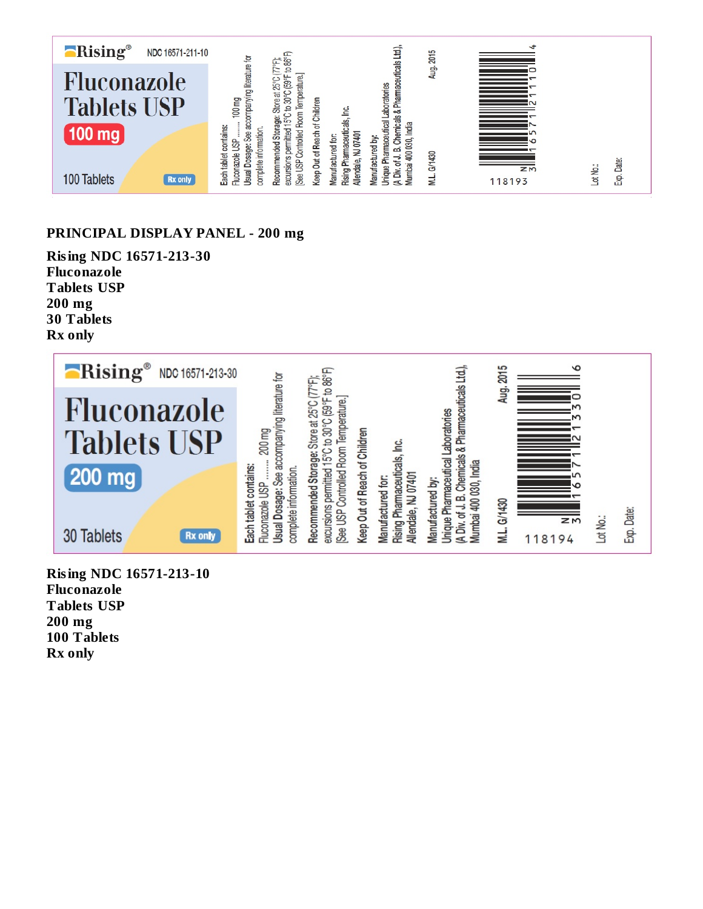

#### **PRINCIPAL DISPLAY PANEL - 200 mg**

**Rising NDC 16571-213-30 Fluconazole Tablets USP 200 mg 30 Tablets Rx only**



**Rising NDC 16571-213-10 Fluconazole Tablets USP 200 mg 100 Tablets Rx only**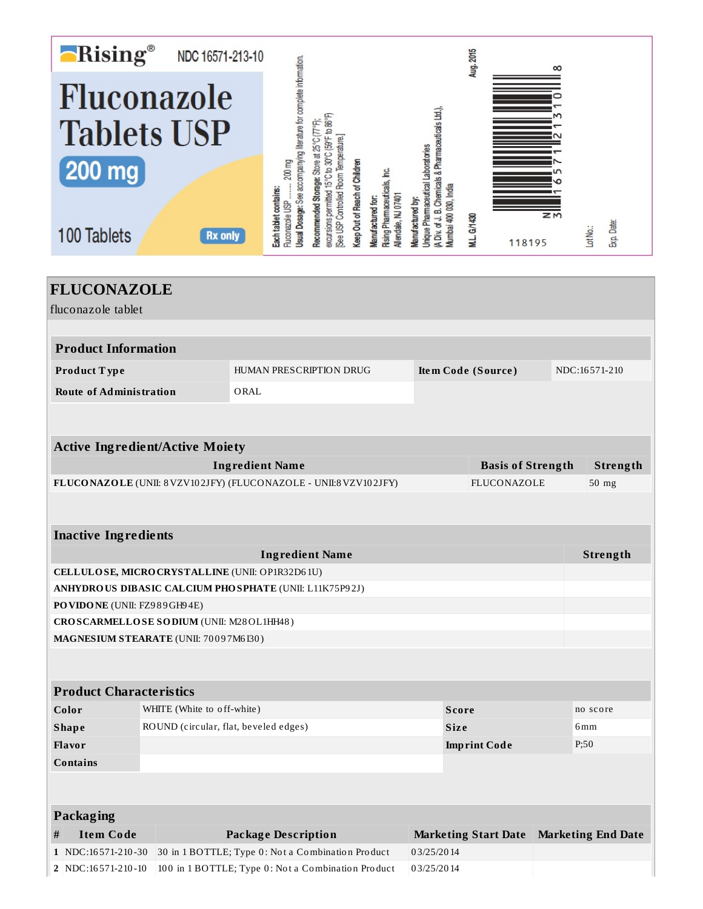| <b>Rising®</b>                                                                                                                       |                                                    | NDC 16571-213-10                                  |      |                                                                                                                         |                                                                                                                                        |                               |                                                                               |                                                                                                             |                       | Aug. 2015                                      |                             | ထ    |                 |          |                           |
|--------------------------------------------------------------------------------------------------------------------------------------|----------------------------------------------------|---------------------------------------------------|------|-------------------------------------------------------------------------------------------------------------------------|----------------------------------------------------------------------------------------------------------------------------------------|-------------------------------|-------------------------------------------------------------------------------|-------------------------------------------------------------------------------------------------------------|-----------------------|------------------------------------------------|-----------------------------|------|-----------------|----------|---------------------------|
| Fluconazole<br><b>Tablets USP</b><br><b>200 mg</b><br>100 Tablets                                                                    |                                                    | <b>Rx only</b>                                    |      | Jsual Dosage: See accompanying literature for complete information.<br>Fluconazole USP  200 mg<br>Each tablet contains: | excursions permitted 15°C to 30°C (59°F to 86°F)<br>Recommended Storage: Store at 25°C (77°F)<br>See USP Controlled Room Temperature.] | Keep Out of Reach of Children | <b>Rising Pharmaceuticals, Inc.</b><br>Jendale, NJ 07401<br>Vanufactured for: | A Div. of J. B. Chemicals & Pharmaceuticals Ltd.),<br>hique Pharmaceutical Laboratories<br>kanufactured by: | Aumbai 400 030, India | M.L. G/1430                                    | 118195                      | zΜ   |                 | Lot No.: | Exp. Date:                |
| <b>FLUCONAZOLE</b><br>fluconazole tablet                                                                                             |                                                    |                                                   |      |                                                                                                                         |                                                                                                                                        |                               |                                                                               |                                                                                                             |                       |                                                |                             |      |                 |          |                           |
| <b>Product Information</b>                                                                                                           |                                                    |                                                   |      |                                                                                                                         |                                                                                                                                        |                               |                                                                               |                                                                                                             |                       |                                                |                             |      |                 |          |                           |
| Product Type                                                                                                                         |                                                    |                                                   |      | HUMAN PRESCRIPTION DRUG                                                                                                 |                                                                                                                                        |                               |                                                                               | <b>Item Code (Source)</b>                                                                                   |                       |                                                |                             |      | NDC:16571-210   |          |                           |
| <b>Route of Administration</b>                                                                                                       |                                                    |                                                   | ORAL |                                                                                                                         |                                                                                                                                        |                               |                                                                               |                                                                                                             |                       |                                                |                             |      |                 |          |                           |
| <b>Active Ingredient/Active Moiety</b><br><b>Ingredient Name</b><br>FLUCONAZOLE (UNII: 8 VZV102JFY) (FLUCONAZOLE - UNII:8 VZV102JFY) |                                                    |                                                   |      |                                                                                                                         |                                                                                                                                        |                               |                                                                               |                                                                                                             |                       | <b>Basis of Strength</b><br><b>FLUCONAZOLE</b> |                             |      | $50$ mg         | Strength |                           |
| <b>Inactive Ingredients</b>                                                                                                          |                                                    |                                                   |      |                                                                                                                         |                                                                                                                                        |                               |                                                                               |                                                                                                             |                       |                                                |                             |      |                 |          |                           |
|                                                                                                                                      |                                                    |                                                   |      | <b>Ingredient Name</b>                                                                                                  |                                                                                                                                        |                               |                                                                               |                                                                                                             |                       |                                                |                             |      |                 | Strength |                           |
| CELLULOSE, MICRO CRYSTALLINE (UNII: OP1R32D61U)                                                                                      |                                                    |                                                   |      |                                                                                                                         |                                                                                                                                        |                               |                                                                               |                                                                                                             |                       |                                                |                             |      |                 |          |                           |
| ANHYDROUS DIBASIC CALCIUM PHOSPHATE (UNII: L11K75P92J)                                                                               |                                                    |                                                   |      |                                                                                                                         |                                                                                                                                        |                               |                                                                               |                                                                                                             |                       |                                                |                             |      |                 |          |                           |
| PO VIDONE (UNII: FZ989GH94E)                                                                                                         |                                                    |                                                   |      |                                                                                                                         |                                                                                                                                        |                               |                                                                               |                                                                                                             |                       |                                                |                             |      |                 |          |                           |
| CROSCARMELLOSE SODIUM (UNII: M28OL1HH48)<br>MAGNESIUM STEARATE (UNII: 70097M6I30)                                                    |                                                    |                                                   |      |                                                                                                                         |                                                                                                                                        |                               |                                                                               |                                                                                                             |                       |                                                |                             |      |                 |          |                           |
|                                                                                                                                      |                                                    |                                                   |      |                                                                                                                         |                                                                                                                                        |                               |                                                                               |                                                                                                             |                       |                                                |                             |      |                 |          |                           |
| <b>Product Characteristics</b>                                                                                                       |                                                    |                                                   |      |                                                                                                                         |                                                                                                                                        |                               |                                                                               |                                                                                                             |                       |                                                |                             |      |                 |          |                           |
| Color                                                                                                                                |                                                    | WHITE (White to off-white)                        |      |                                                                                                                         |                                                                                                                                        |                               |                                                                               |                                                                                                             | <b>Score</b>          |                                                |                             |      |                 | no score |                           |
| <b>Shape</b>                                                                                                                         | ROUND (circular, flat, beveled edges)              |                                                   |      |                                                                                                                         |                                                                                                                                        |                               |                                                                               | <b>Size</b>                                                                                                 |                       |                                                |                             |      | 6 <sub>mm</sub> |          |                           |
| Flavor                                                                                                                               |                                                    |                                                   |      |                                                                                                                         |                                                                                                                                        |                               |                                                                               | <b>Imprint Code</b>                                                                                         |                       |                                                |                             | P;50 |                 |          |                           |
| <b>Contains</b>                                                                                                                      |                                                    |                                                   |      |                                                                                                                         |                                                                                                                                        |                               |                                                                               |                                                                                                             |                       |                                                |                             |      |                 |          |                           |
| Packaging                                                                                                                            |                                                    |                                                   |      |                                                                                                                         |                                                                                                                                        |                               |                                                                               |                                                                                                             |                       |                                                |                             |      |                 |          |                           |
| <b>Item Code</b><br>#                                                                                                                |                                                    |                                                   |      | <b>Package Description</b>                                                                                              |                                                                                                                                        |                               |                                                                               |                                                                                                             |                       |                                                | <b>Marketing Start Date</b> |      |                 |          | <b>Marketing End Date</b> |
| 1 NDC:16571-210-30                                                                                                                   |                                                    | 30 in 1 BOTTLE; Type 0: Not a Combination Product |      |                                                                                                                         |                                                                                                                                        |                               |                                                                               | 03/25/2014                                                                                                  |                       |                                                |                             |      |                 |          |                           |
| 2 NDC:16571-210-10                                                                                                                   | 100 in 1 BOTTLE; Type 0: Not a Combination Product |                                                   |      |                                                                                                                         |                                                                                                                                        |                               |                                                                               | 03/25/2014                                                                                                  |                       |                                                |                             |      |                 |          |                           |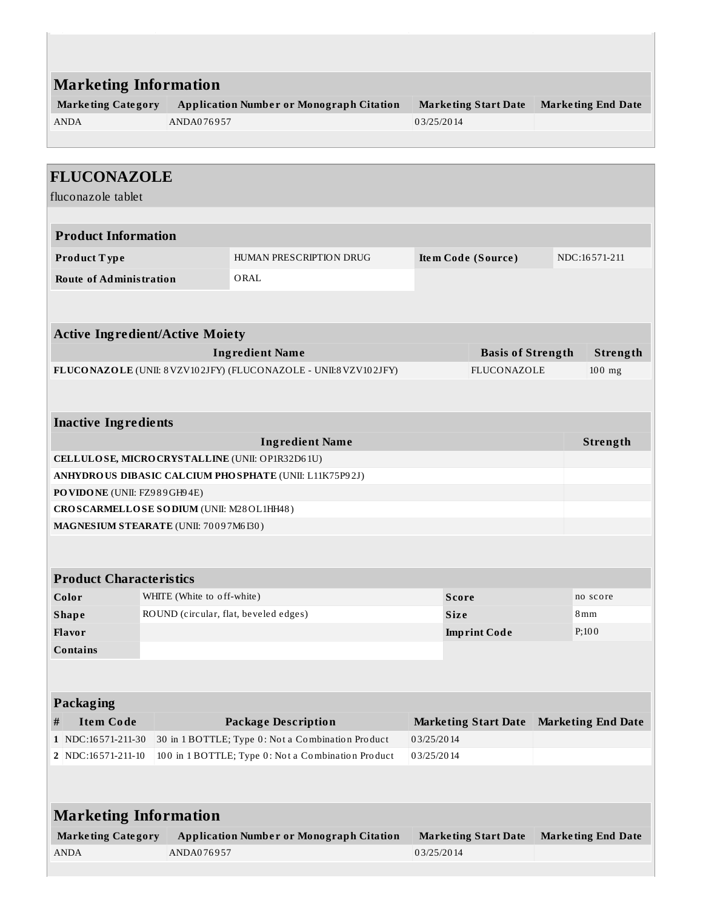| <b>Marketing Information</b><br><b>Application Number or Monograph Citation</b><br><b>Marketing Category</b><br>ANDA076957<br><b>ANDA</b> |                            |                                                                  | <b>Marketing Start Date</b><br><b>Marketing End Date</b><br>03/25/2014 |                             |               |                           |
|-------------------------------------------------------------------------------------------------------------------------------------------|----------------------------|------------------------------------------------------------------|------------------------------------------------------------------------|-----------------------------|---------------|---------------------------|
|                                                                                                                                           |                            |                                                                  |                                                                        |                             |               |                           |
| <b>FLUCONAZOLE</b><br>fluconazole tablet                                                                                                  |                            |                                                                  |                                                                        |                             |               |                           |
| <b>Product Information</b>                                                                                                                |                            |                                                                  |                                                                        |                             |               |                           |
| Product Type                                                                                                                              |                            | HUMAN PRESCRIPTION DRUG                                          | Item Code (Source)                                                     |                             | NDC:16571-211 |                           |
| <b>Route of Administration</b>                                                                                                            |                            | ORAL                                                             |                                                                        |                             |               |                           |
|                                                                                                                                           |                            |                                                                  |                                                                        |                             |               |                           |
| <b>Active Ingredient/Active Moiety</b>                                                                                                    |                            |                                                                  |                                                                        |                             |               |                           |
|                                                                                                                                           |                            | <b>Ingredient Name</b>                                           |                                                                        | <b>Basis of Strength</b>    |               | Strength                  |
|                                                                                                                                           |                            | FLUCONAZOLE (UNII: 8 VZV102JFY) (FLUCONAZOLE - UNII:8 VZV102JFY) | <b>FLUCONAZOLE</b>                                                     |                             |               | $100$ mg                  |
|                                                                                                                                           |                            |                                                                  |                                                                        |                             |               |                           |
| <b>Inactive Ingredients</b>                                                                                                               |                            |                                                                  |                                                                        |                             |               |                           |
|                                                                                                                                           |                            | <b>Ingredient Name</b>                                           |                                                                        |                             |               | Strength                  |
| CELLULOSE, MICRO CRYSTALLINE (UNII: OP1R32D61U)                                                                                           |                            |                                                                  |                                                                        |                             |               |                           |
|                                                                                                                                           |                            | ANHYDROUS DIBASIC CALCIUM PHOSPHATE (UNII: L11K75P92J)           |                                                                        |                             |               |                           |
| PO VIDO NE (UNII: FZ989GH94E)<br>CROSCARMELLOSE SODIUM (UNII: M28OL1HH48)                                                                 |                            |                                                                  |                                                                        |                             |               |                           |
| MAGNESIUM STEARATE (UNII: 70097M6I30)                                                                                                     |                            |                                                                  |                                                                        |                             |               |                           |
|                                                                                                                                           |                            |                                                                  |                                                                        |                             |               |                           |
| <b>Product Characteristics</b>                                                                                                            |                            |                                                                  |                                                                        |                             |               |                           |
| Color                                                                                                                                     | WHITE (White to off-white) |                                                                  |                                                                        | <b>Score</b>                |               | no score                  |
| <b>Shape</b>                                                                                                                              |                            | ROUND (circular, flat, beveled edges)                            |                                                                        | <b>Size</b>                 |               | 8 mm                      |
| Flavor                                                                                                                                    |                            |                                                                  |                                                                        | <b>Imprint Code</b>         |               | $P$ ; 100                 |
| <b>Contains</b>                                                                                                                           |                            |                                                                  |                                                                        |                             |               |                           |
|                                                                                                                                           |                            |                                                                  |                                                                        |                             |               |                           |
| Packaging                                                                                                                                 |                            |                                                                  |                                                                        |                             |               |                           |
| <b>Item Code</b><br>#                                                                                                                     |                            | <b>Package Description</b>                                       |                                                                        | <b>Marketing Start Date</b> |               | <b>Marketing End Date</b> |
| 1 NDC:16571-211-30                                                                                                                        |                            | 30 in 1 BOTTLE; Type 0: Not a Combination Product                | 03/25/2014                                                             |                             |               |                           |
| 2 NDC:16571-211-10<br>100 in 1 BOTTLE; Type 0: Not a Combination Product<br>03/25/2014                                                    |                            |                                                                  |                                                                        |                             |               |                           |
|                                                                                                                                           |                            |                                                                  |                                                                        |                             |               |                           |
| <b>Marketing Information</b>                                                                                                              |                            |                                                                  |                                                                        |                             |               |                           |
| <b>Marketing Category</b>                                                                                                                 |                            | <b>Application Number or Monograph Citation</b>                  |                                                                        | <b>Marketing Start Date</b> |               | <b>Marketing End Date</b> |
| ANDA                                                                                                                                      | ANDA076957                 |                                                                  | 03/25/2014                                                             |                             |               |                           |
|                                                                                                                                           |                            |                                                                  |                                                                        |                             |               |                           |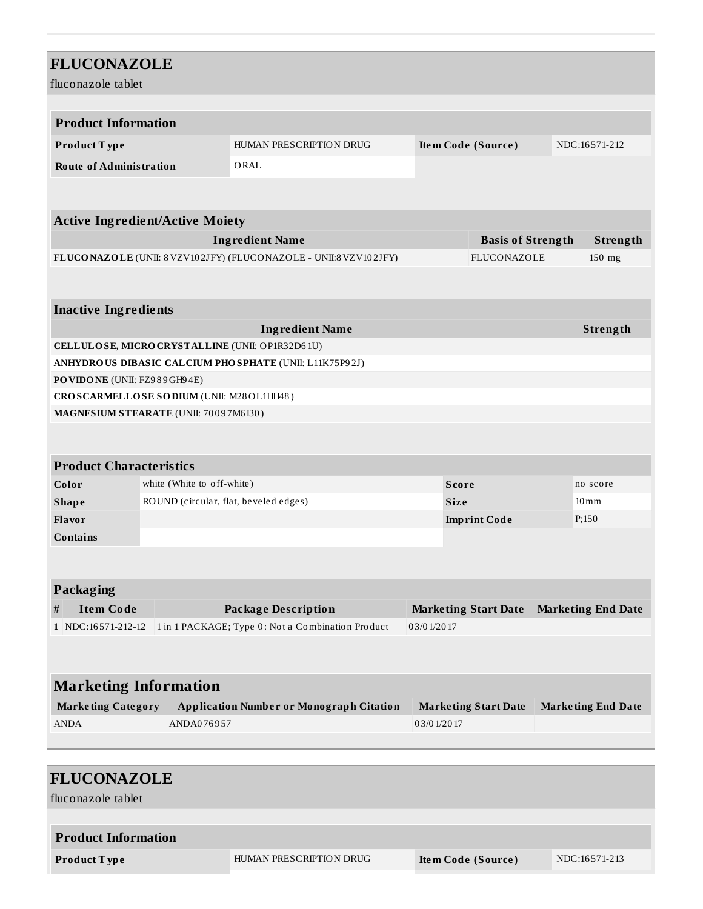| <b>FLUCONAZOLE</b><br>fluconazole tablet |                                                                                        |                                                                  |              |                             |                    |                           |  |  |
|------------------------------------------|----------------------------------------------------------------------------------------|------------------------------------------------------------------|--------------|-----------------------------|--------------------|---------------------------|--|--|
|                                          |                                                                                        |                                                                  |              |                             |                    |                           |  |  |
| <b>Product Information</b>               |                                                                                        |                                                                  |              |                             |                    |                           |  |  |
| Product Type                             | HUMAN PRESCRIPTION DRUG<br>NDC:16571-212<br>Item Code (Source)                         |                                                                  |              |                             |                    |                           |  |  |
| <b>Route of Administration</b>           |                                                                                        | ORAL                                                             |              |                             |                    |                           |  |  |
|                                          |                                                                                        |                                                                  |              |                             |                    |                           |  |  |
| <b>Active Ingredient/Active Moiety</b>   |                                                                                        |                                                                  |              |                             |                    |                           |  |  |
|                                          |                                                                                        | <b>Ingredient Name</b>                                           |              | <b>Basis of Strength</b>    |                    | Strength                  |  |  |
|                                          |                                                                                        | FLUCONAZOLE (UNII: 8 VZV102JFY) (FLUCONAZOLE - UNII:8 VZV102JFY) |              | FLUCONAZOLE                 |                    | 150 mg                    |  |  |
|                                          |                                                                                        |                                                                  |              |                             |                    |                           |  |  |
| <b>Inactive Ingredients</b>              |                                                                                        |                                                                  |              |                             |                    |                           |  |  |
|                                          |                                                                                        | <b>Ingredient Name</b>                                           |              |                             |                    | Strength                  |  |  |
|                                          |                                                                                        | CELLULOSE, MICRO CRYSTALLINE (UNII: OP1R32D61U)                  |              |                             |                    |                           |  |  |
|                                          | ANHYDROUS DIBASIC CALCIUM PHOSPHATE (UNII: L11K75P92J)                                 |                                                                  |              |                             |                    |                           |  |  |
| PO VIDO NE (UNII: FZ989GH94E)            |                                                                                        |                                                                  |              |                             |                    |                           |  |  |
| CROSCARMELLOSE SODIUM (UNII: M28OL1HH48) |                                                                                        |                                                                  |              |                             |                    |                           |  |  |
| MAGNESIUM STEARATE (UNII: 70097M6I30)    |                                                                                        |                                                                  |              |                             |                    |                           |  |  |
|                                          |                                                                                        |                                                                  |              |                             |                    |                           |  |  |
|                                          |                                                                                        |                                                                  |              |                             |                    |                           |  |  |
| <b>Product Characteristics</b>           |                                                                                        |                                                                  |              |                             |                    |                           |  |  |
| white (White to off-white)<br>Color      |                                                                                        |                                                                  | <b>Score</b> |                             | no score           |                           |  |  |
| <b>Shape</b>                             | ROUND (circular, flat, beveled edges)<br><b>Size</b>                                   |                                                                  |              |                             | $10 \,\mathrm{mm}$ |                           |  |  |
| Flavor                                   |                                                                                        |                                                                  |              | <b>Imprint Code</b>         |                    | P;150                     |  |  |
| <b>Contains</b>                          |                                                                                        |                                                                  |              |                             |                    |                           |  |  |
|                                          |                                                                                        |                                                                  |              |                             |                    |                           |  |  |
|                                          |                                                                                        |                                                                  |              |                             |                    |                           |  |  |
| <b>Packaging</b>                         |                                                                                        |                                                                  |              |                             |                    |                           |  |  |
| <b>Item Code</b><br>#                    | <b>Marketing End Date</b><br><b>Package Description</b><br><b>Marketing Start Date</b> |                                                                  |              |                             |                    |                           |  |  |
| 1 NDC:16571-212-12                       |                                                                                        | 1 in 1 PACKAGE; Type 0: Not a Combination Product                | 03/01/2017   |                             |                    |                           |  |  |
|                                          |                                                                                        |                                                                  |              |                             |                    |                           |  |  |
|                                          |                                                                                        |                                                                  |              |                             |                    |                           |  |  |
| <b>Marketing Information</b>             |                                                                                        |                                                                  |              |                             |                    |                           |  |  |
| <b>Marketing Category</b>                |                                                                                        | <b>Application Number or Monograph Citation</b>                  |              | <b>Marketing Start Date</b> |                    | <b>Marketing End Date</b> |  |  |
| <b>ANDA</b>                              | ANDA076957                                                                             |                                                                  | 03/01/2017   |                             |                    |                           |  |  |
|                                          |                                                                                        |                                                                  |              |                             |                    |                           |  |  |

| <b>FLUCONAZOLE</b>         |                         |                    |               |  |  |  |  |
|----------------------------|-------------------------|--------------------|---------------|--|--|--|--|
| fluconazole tablet         |                         |                    |               |  |  |  |  |
|                            |                         |                    |               |  |  |  |  |
| <b>Product Information</b> |                         |                    |               |  |  |  |  |
| <b>Product Type</b>        | HUMAN PRESCRIPTION DRUG | Item Code (Source) | NDC:16571-213 |  |  |  |  |